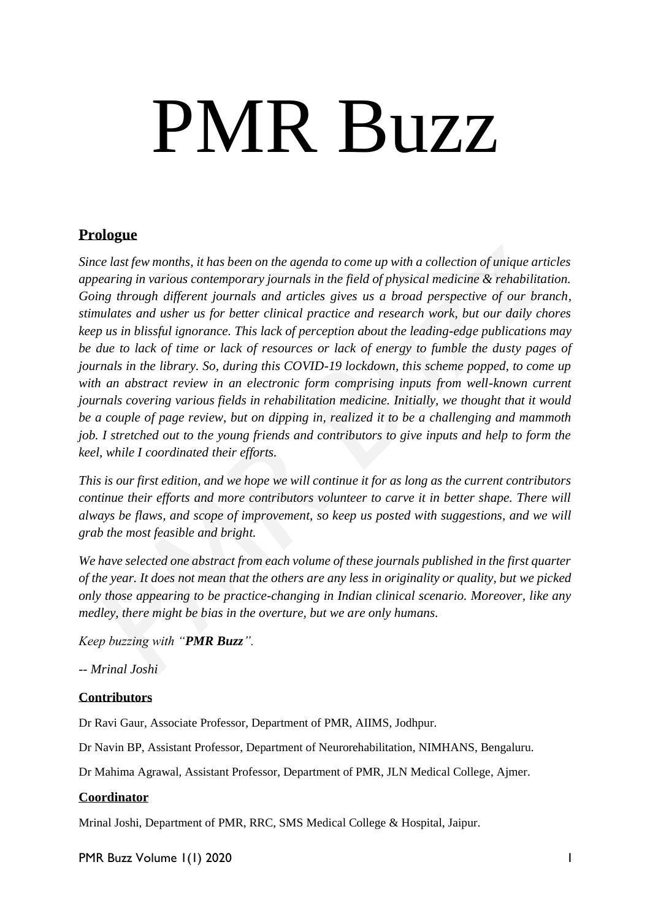# PMR Buzz

#### **Prologue**

*Since last few months, it has been on the agenda to come up with a collection of unique articles appearing in various contemporary journals in the field of physical medicine & rehabilitation. Going through different journals and articles gives us a broad perspective of our branch, stimulates and usher us for better clinical practice and research work, but our daily chores keep us in blissful ignorance. This lack of perception about the leading-edge publications may be due to lack of time or lack of resources or lack of energy to fumble the dusty pages of journals in the library. So, during this COVID-19 lockdown, this scheme popped, to come up with an abstract review in an electronic form comprising inputs from well-known current journals covering various fields in rehabilitation medicine. Initially, we thought that it would be a couple of page review, but on dipping in, realized it to be a challenging and mammoth job. I stretched out to the young friends and contributors to give inputs and help to form the keel, while I coordinated their efforts.* 

*This is our first edition, and we hope we will continue it for as long as the current contributors continue their efforts and more contributors volunteer to carve it in better shape. There will always be flaws, and scope of improvement, so keep us posted with suggestions, and we will grab the most feasible and bright.* 

*We have selected one abstract from each volume of these journals published in the first quarter of the year. It does not mean that the others are any less in originality or quality, but we picked only those appearing to be practice-changing in Indian clinical scenario. Moreover, like any medley, there might be bias in the overture, but we are only humans.* 

*Keep buzzing with "PMR Buzz".* 

*-- Mrinal Joshi*

#### **Contributors**

Dr Ravi Gaur, Associate Professor, Department of PMR, AIIMS, Jodhpur.

Dr Navin BP, Assistant Professor, Department of Neurorehabilitation, NIMHANS, Bengaluru.

Dr Mahima Agrawal, Assistant Professor, Department of PMR, JLN Medical College, Ajmer.

#### **Coordinator**

Mrinal Joshi, Department of PMR, RRC, SMS Medical College & Hospital, Jaipur.

PMR Buzz Volume 1(1) 2020 International Australian Communication and International International International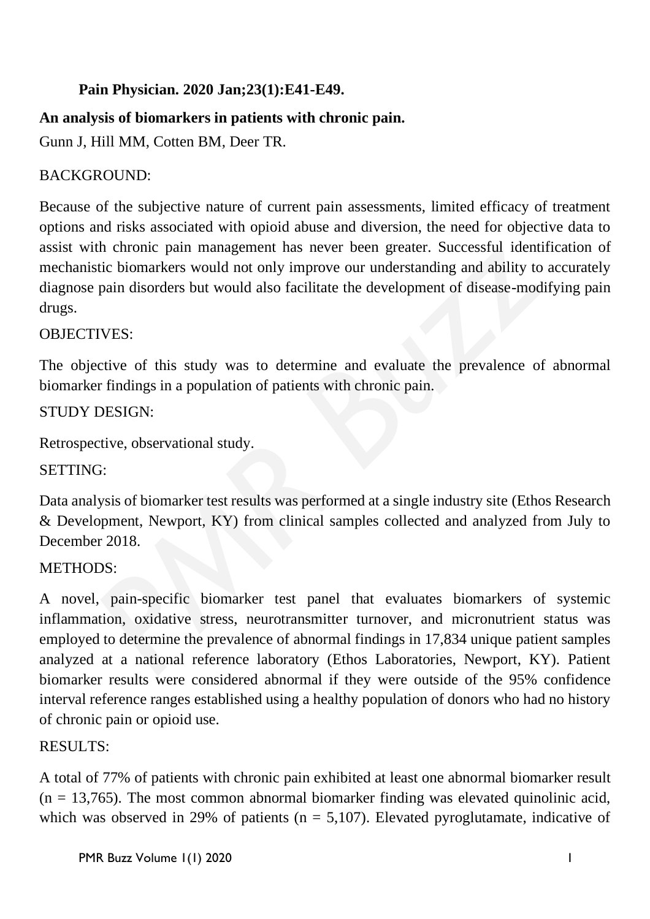## **Pain Physician. 2020 Jan;23(1):E41-E49.**

## **An analysis of biomarkers in patients with chronic pain.**

[Gunn J,](https://www.ncbi.nlm.nih.gov/pubmed/?term=Gunn%20J%5BAuthor%5D&cauthor=true&cauthor_uid=32013287) [Hill MM,](https://www.ncbi.nlm.nih.gov/pubmed/?term=Hill%20MM%5BAuthor%5D&cauthor=true&cauthor_uid=32013287) [Cotten BM,](https://www.ncbi.nlm.nih.gov/pubmed/?term=Cotten%20BM%5BAuthor%5D&cauthor=true&cauthor_uid=32013287) [Deer TR.](https://www.ncbi.nlm.nih.gov/pubmed/?term=Deer%20TR%5BAuthor%5D&cauthor=true&cauthor_uid=32013287)

## BACKGROUND:

Because of the subjective nature of current pain assessments, limited efficacy of treatment options and risks associated with opioid abuse and diversion, the need for objective data to assist with chronic pain management has never been greater. Successful identification of mechanistic biomarkers would not only improve our understanding and ability to accurately diagnose pain disorders but would also facilitate the development of disease-modifying pain drugs.

#### OBJECTIVES:

The objective of this study was to determine and evaluate the prevalence of abnormal biomarker findings in a population of patients with chronic pain.

#### STUDY DESIGN:

Retrospective, observational study.

#### SETTING:

Data analysis of biomarker test results was performed at a single industry site (Ethos Research & Development, Newport, KY) from clinical samples collected and analyzed from July to December 2018.

#### METHODS:

A novel, pain-specific biomarker test panel that evaluates biomarkers of systemic inflammation, oxidative stress, neurotransmitter turnover, and micronutrient status was employed to determine the prevalence of abnormal findings in 17,834 unique patient samples analyzed at a national reference laboratory (Ethos Laboratories, Newport, KY). Patient biomarker results were considered abnormal if they were outside of the 95% confidence interval reference ranges established using a healthy population of donors who had no history of chronic pain or opioid use.

#### RESULTS:

A total of 77% of patients with chronic pain exhibited at least one abnormal biomarker result  $(n = 13,765)$ . The most common abnormal biomarker finding was elevated quinolinic acid, which was observed in 29% of patients ( $n = 5,107$ ). Elevated pyroglutamate, indicative of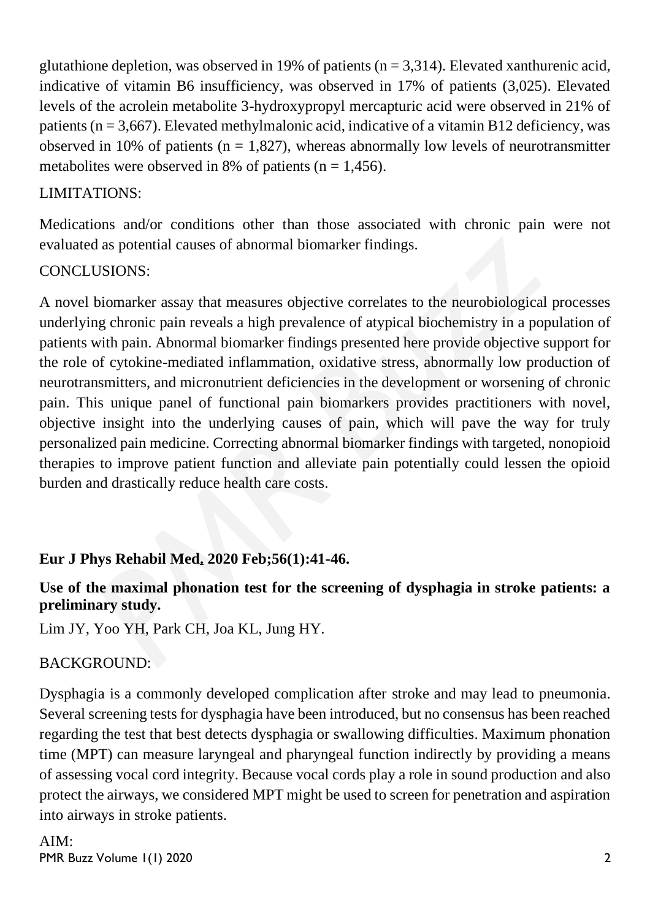glutathione depletion, was observed in 19% of patients ( $n = 3,314$ ). Elevated xanthurenic acid, indicative of vitamin B6 insufficiency, was observed in 17% of patients (3,025). Elevated levels of the acrolein metabolite 3-hydroxypropyl mercapturic acid were observed in 21% of patients ( $n = 3,667$ ). Elevated methylmalonic acid, indicative of a vitamin B12 deficiency, was observed in 10% of patients ( $n = 1,827$ ), whereas abnormally low levels of neurotransmitter metabolites were observed in 8% of patients ( $n = 1,456$ ).

#### LIMITATIONS:

Medications and/or conditions other than those associated with chronic pain were not evaluated as potential causes of abnormal biomarker findings.

#### CONCLUSIONS:

A novel biomarker assay that measures objective correlates to the neurobiological processes underlying chronic pain reveals a high prevalence of atypical biochemistry in a population of patients with pain. Abnormal biomarker findings presented here provide objective support for the role of cytokine-mediated inflammation, oxidative stress, abnormally low production of neurotransmitters, and micronutrient deficiencies in the development or worsening of chronic pain. This unique panel of functional pain biomarkers provides practitioners with novel, objective insight into the underlying causes of pain, which will pave the way for truly personalized pain medicine. Correcting abnormal biomarker findings with targeted, nonopioid therapies to improve patient function and alleviate pain potentially could lessen the opioid burden and drastically reduce health care costs.

## **Eur J Phys Rehabil Med. 2020 Feb;56(1):41-46.**

#### **Use of the maximal phonation test for the screening of dysphagia in stroke patients: a preliminary study.**

Lim JY, Yoo YH, Park CH, Joa KL, Jung HY.

## BACKGROUND:

Dysphagia is a commonly developed complication after stroke and may lead to pneumonia. Several screening tests for dysphagia have been introduced, but no consensus has been reached regarding the test that best detects dysphagia or swallowing difficulties. Maximum phonation time (MPT) can measure laryngeal and pharyngeal function indirectly by providing a means of assessing vocal cord integrity. Because vocal cords play a role in sound production and also protect the airways, we considered MPT might be used to screen for penetration and aspiration into airways in stroke patients.

PMR Buzz Volume 1(1) 2020 2 AIM: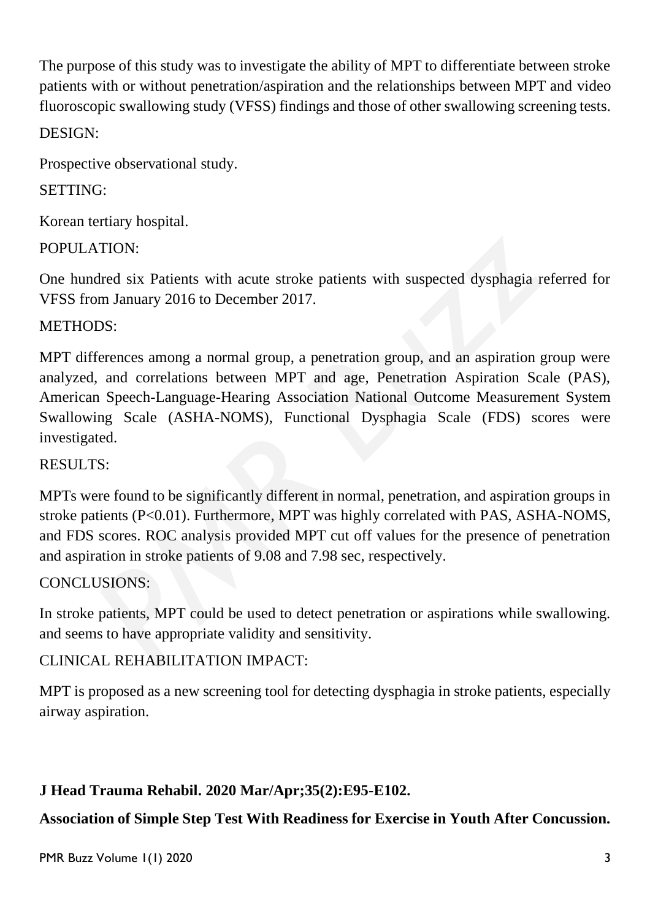The purpose of this study was to investigate the ability of MPT to differentiate between stroke patients with or without penetration/aspiration and the relationships between MPT and video fluoroscopic swallowing study (VFSS) findings and those of other swallowing screening tests. DESIGN:

Prospective observational study.

## SETTING:

Korean tertiary hospital.

## POPULATION:

One hundred six Patients with acute stroke patients with suspected dysphagia referred for VFSS from January 2016 to December 2017.

## METHODS:

MPT differences among a normal group, a penetration group, and an aspiration group were analyzed, and correlations between MPT and age, Penetration Aspiration Scale (PAS), American Speech-Language-Hearing Association National Outcome Measurement System Swallowing Scale (ASHA-NOMS), Functional Dysphagia Scale (FDS) scores were investigated.

## RESULTS:

MPTs were found to be significantly different in normal, penetration, and aspiration groups in stroke patients (P<0.01). Furthermore, MPT was highly correlated with PAS, ASHA-NOMS, and FDS scores. ROC analysis provided MPT cut off values for the presence of penetration and aspiration in stroke patients of 9.08 and 7.98 sec, respectively.

## CONCLUSIONS:

In stroke patients, MPT could be used to detect penetration or aspirations while swallowing. and seems to have appropriate validity and sensitivity.

## CLINICAL REHABILITATION IMPACT:

MPT is proposed as a new screening tool for detecting dysphagia in stroke patients, especially airway aspiration.

## **J Head Trauma Rehabil. 2020 Mar/Apr;35(2):E95-E102.**

**Association of Simple Step Test With Readiness for Exercise in Youth After Concussion.**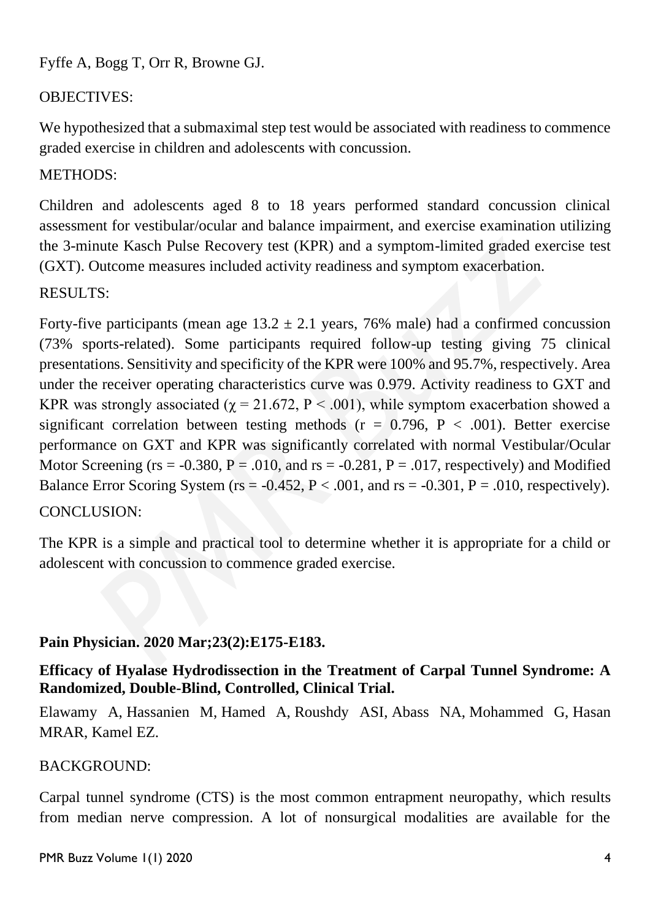Fyffe A, Bogg T, Orr R, Browne GJ.

## OBJECTIVES:

We hypothesized that a submaximal step test would be associated with readiness to commence graded exercise in children and adolescents with concussion.

## METHODS:

Children and adolescents aged 8 to 18 years performed standard concussion clinical assessment for vestibular/ocular and balance impairment, and exercise examination utilizing the 3-minute Kasch Pulse Recovery test (KPR) and a symptom-limited graded exercise test (GXT). Outcome measures included activity readiness and symptom exacerbation.

#### RESULTS:

Forty-five participants (mean age  $13.2 \pm 2.1$  years, 76% male) had a confirmed concussion (73% sports-related). Some participants required follow-up testing giving 75 clinical presentations. Sensitivity and specificity of the KPR were 100% and 95.7%, respectively. Area under the receiver operating characteristics curve was 0.979. Activity readiness to GXT and KPR was strongly associated ( $\chi$  = 21.672, P < .001), while symptom exacerbation showed a significant correlation between testing methods ( $r = 0.796$ ,  $P < .001$ ). Better exercise performance on GXT and KPR was significantly correlated with normal Vestibular/Ocular Motor Screening ( $rs = -0.380$ ,  $P = .010$ , and  $rs = -0.281$ ,  $P = .017$ , respectively) and Modified Balance Error Scoring System (rs =  $-0.452$ , P < .001, and rs =  $-0.301$ , P = .010, respectively). CONCLUSION:

The KPR is a simple and practical tool to determine whether it is appropriate for a child or adolescent with concussion to commence graded exercise.

#### **Pain Physician. 2020 Mar;23(2):E175-E183.**

**Efficacy of Hyalase Hydrodissection in the Treatment of Carpal Tunnel Syndrome: A Randomized, Double-Blind, Controlled, Clinical Trial.**

Elawamy A, Hassanien M, Hamed A, Roushdy ASI, Abass NA, Mohammed G, Hasan MRAR, Kamel EZ.

#### BACKGROUND:

Carpal tunnel syndrome (CTS) is the most common entrapment neuropathy, which results from median nerve compression. A lot of nonsurgical modalities are available for the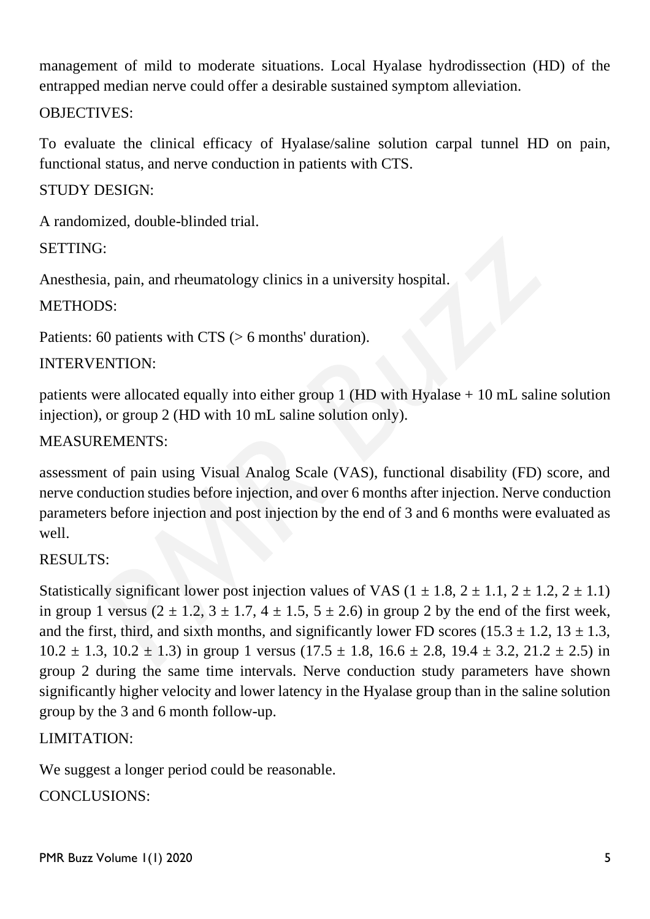management of mild to moderate situations. Local Hyalase hydrodissection (HD) of the entrapped median nerve could offer a desirable sustained symptom alleviation.

#### OBJECTIVES:

To evaluate the clinical efficacy of Hyalase/saline solution carpal tunnel HD on pain, functional status, and nerve conduction in patients with CTS.

#### STUDY DESIGN:

A randomized, double-blinded trial.

#### SETTING:

Anesthesia, pain, and rheumatology clinics in a university hospital.

#### METHODS:

Patients: 60 patients with CTS (> 6 months' duration).

#### INTERVENTION:

patients were allocated equally into either group 1 (HD with Hyalase + 10 mL saline solution injection), or group 2 (HD with 10 mL saline solution only).

#### MEASUREMENTS:

assessment of pain using Visual Analog Scale (VAS), functional disability (FD) score, and nerve conduction studies before injection, and over 6 months after injection. Nerve conduction parameters before injection and post injection by the end of 3 and 6 months were evaluated as well.

#### RESULTS:

Statistically significant lower post injection values of VAS  $(1 \pm 1.8, 2 \pm 1.1, 2 \pm 1.2, 2 \pm 1.1)$ in group 1 versus  $(2 \pm 1.2, 3 \pm 1.7, 4 \pm 1.5, 5 \pm 2.6)$  in group 2 by the end of the first week, and the first, third, and sixth months, and significantly lower FD scores (15.3  $\pm$  1.2, 13  $\pm$  1.3,  $10.2 \pm 1.3$ ,  $10.2 \pm 1.3$ ) in group 1 versus  $(17.5 \pm 1.8, 16.6 \pm 2.8, 19.4 \pm 3.2, 21.2 \pm 2.5)$  in group 2 during the same time intervals. Nerve conduction study parameters have shown significantly higher velocity and lower latency in the Hyalase group than in the saline solution group by the 3 and 6 month follow-up.

## LIMITATION:

We suggest a longer period could be reasonable. CONCLUSIONS: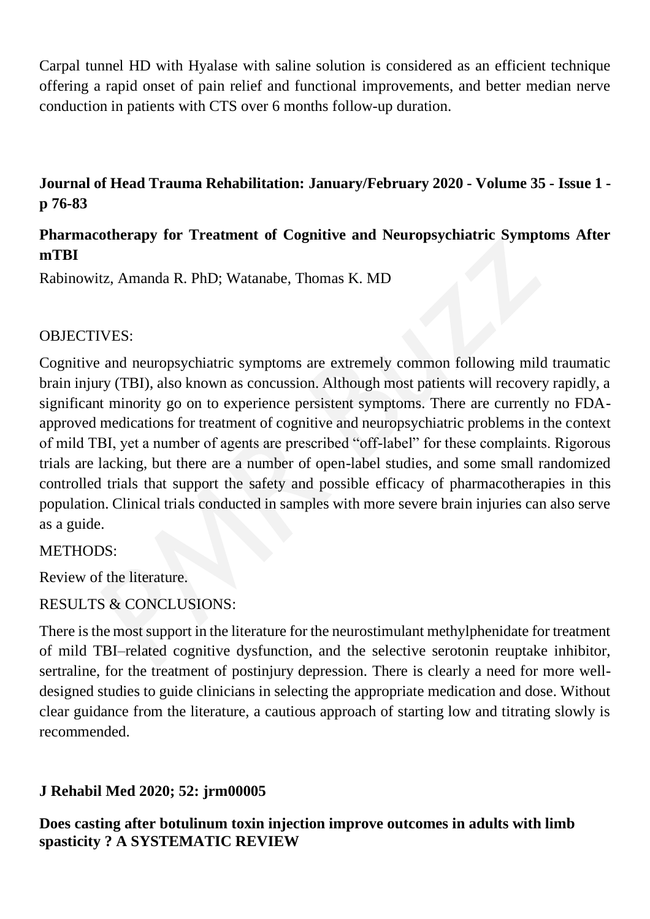Carpal tunnel HD with Hyalase with saline solution is considered as an efficient technique offering a rapid onset of pain relief and functional improvements, and better median nerve conduction in patients with CTS over 6 months follow-up duration.

## **Journal of Head Trauma Rehabilitation: [January/February 2020 -](https://journals.lww.com/headtraumarehab/toc/2020/01000) Volume 35 - Issue 1 [p 76-83](https://journals.lww.com/headtraumarehab/toc/2020/01000)**

## **Pharmacotherapy for Treatment of Cognitive and Neuropsychiatric Symptoms After mTBI**

Rabinowitz, Amanda R. PhD; Watanabe, Thomas K. MD

#### OBJECTIVES:

Cognitive and neuropsychiatric symptoms are extremely common following mild traumatic brain injury (TBI), also known as concussion. Although most patients will recovery rapidly, a significant minority go on to experience persistent symptoms. There are currently no FDAapproved medications for treatment of cognitive and neuropsychiatric problems in the context of mild TBI, yet a number of agents are prescribed "off-label" for these complaints. Rigorous trials are lacking, but there are a number of open-label studies, and some small randomized controlled trials that support the safety and possible efficacy of pharmacotherapies in this population. Clinical trials conducted in samples with more severe brain injuries can also serve as a guide.

#### METHODS:

Review of the literature.

#### RESULTS & CONCLUSIONS:

There is the most support in the literature for the neurostimulant methylphenidate for treatment of mild TBI–related cognitive dysfunction, and the selective serotonin reuptake inhibitor, sertraline, for the treatment of postinjury depression. There is clearly a need for more welldesigned studies to guide clinicians in selecting the appropriate medication and dose. Without clear guidance from the literature, a cautious approach of starting low and titrating slowly is recommended.

## **J Rehabil Med 2020; 52: jrm00005**

**Does casting after botulinum toxin injection improve outcomes in adults with limb spasticity ? A SYSTEMATIC REVIEW**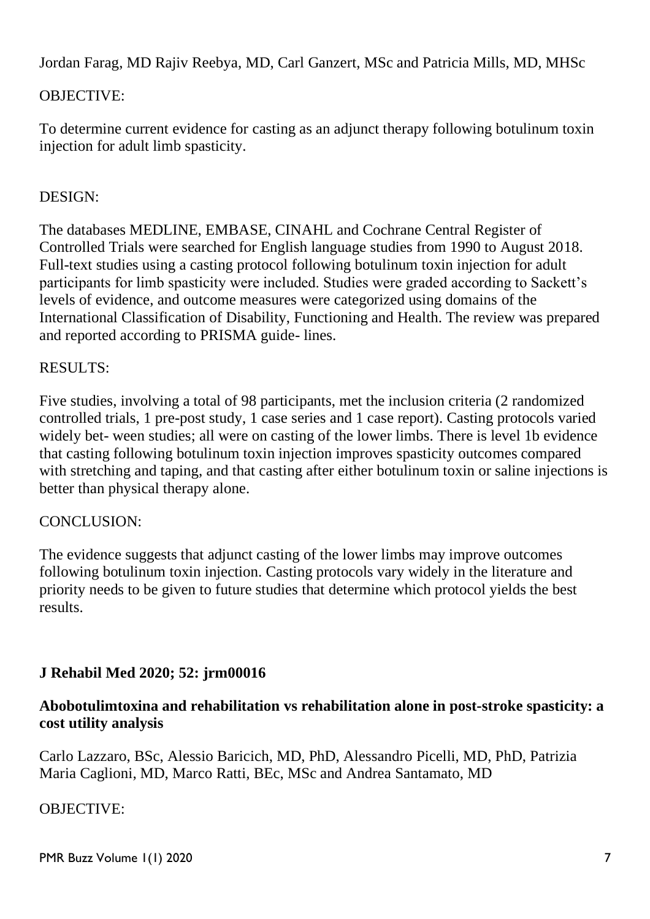Jordan Farag, MD Rajiv Reebya, MD, Carl Ganzert, MSc and Patricia Mills, MD, MHSc

## OBJECTIVE:

To determine current evidence for casting as an adjunct therapy following botulinum toxin injection for adult limb spasticity.

## DESIGN:

The databases MEDLINE, EMBASE, CINAHL and Cochrane Central Register of Controlled Trials were searched for English language studies from 1990 to August 2018. Full-text studies using a casting protocol following botulinum toxin injection for adult participants for limb spasticity were included. Studies were graded according to Sackett's levels of evidence, and outcome measures were categorized using domains of the International Classification of Disability, Functioning and Health. The review was prepared and reported according to PRISMA guide- lines.

#### RESULTS:

Five studies, involving a total of 98 participants, met the inclusion criteria (2 randomized controlled trials, 1 pre-post study, 1 case series and 1 case report). Casting protocols varied widely bet- ween studies; all were on casting of the lower limbs. There is level 1b evidence that casting following botulinum toxin injection improves spasticity outcomes compared with stretching and taping, and that casting after either botulinum toxin or saline injections is better than physical therapy alone.

#### CONCLUSION:

The evidence suggests that adjunct casting of the lower limbs may improve outcomes following botulinum toxin injection. Casting protocols vary widely in the literature and priority needs to be given to future studies that determine which protocol yields the best results.

## **J Rehabil Med 2020; 52: jrm00016**

#### **Abobotulimtoxina and rehabilitation vs rehabilitation alone in post-stroke spasticity: a cost utility analysis**

Carlo Lazzaro, BSc, Alessio Baricich, MD, PhD, Alessandro Picelli, MD, PhD, Patrizia Maria Caglioni, MD, Marco Ratti, BEc, MSc and Andrea Santamato, MD

OBJECTIVE: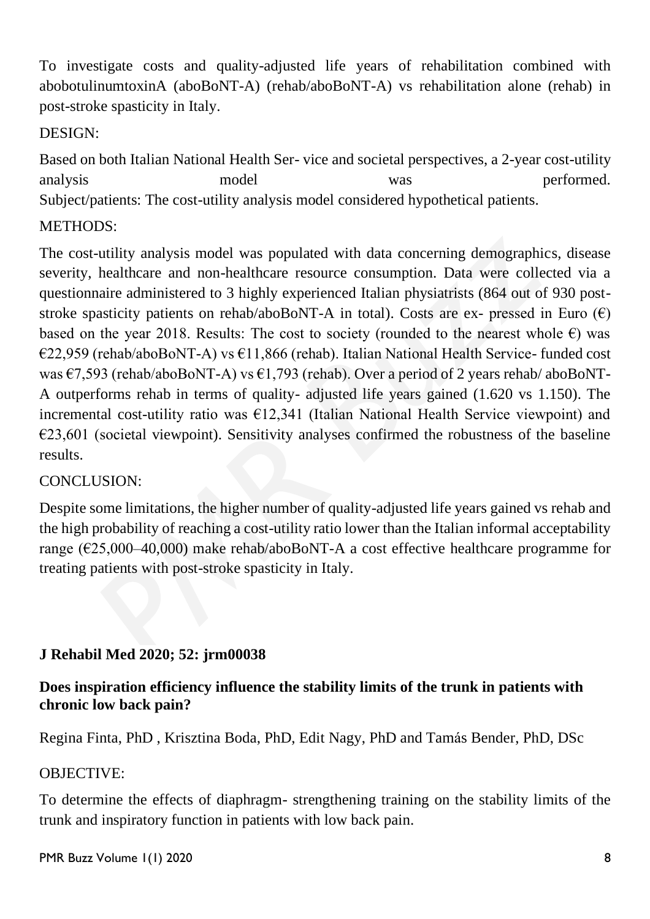To investigate costs and quality-adjusted life years of rehabilitation combined with abobotulinumtoxinA (aboBoNT-A) (rehab/aboBoNT-A) vs rehabilitation alone (rehab) in post-stroke spasticity in Italy.

## DESIGN:

Based on both Italian National Health Ser- vice and societal perspectives, a 2-year cost-utility analysis model was performed. Subject/patients: The cost-utility analysis model considered hypothetical patients.

## METHODS:

The cost-utility analysis model was populated with data concerning demographics, disease severity, healthcare and non-healthcare resource consumption. Data were collected via a questionnaire administered to 3 highly experienced Italian physiatrists (864 out of 930 poststroke spasticity patients on rehab/aboBoNT-A in total). Costs are ex- pressed in Euro  $(\epsilon)$ based on the year 2018. Results: The cost to society (rounded to the nearest whole  $\epsilon$ ) was €22,959 (rehab/aboBoNT-A) vs €11,866 (rehab). Italian National Health Service- funded cost was  $\epsilon$ 7,593 (rehab/aboBoNT-A) vs  $\epsilon$ 1,793 (rehab). Over a period of 2 years rehab/aboBoNT-A outperforms rehab in terms of quality- adjusted life years gained (1.620 vs 1.150). The incremental cost-utility ratio was  $E12,341$  (Italian National Health Service viewpoint) and  $E23,601$  (societal viewpoint). Sensitivity analyses confirmed the robustness of the baseline results.

## CONCLUSION:

Despite some limitations, the higher number of quality-adjusted life years gained vs rehab and the high probability of reaching a cost-utility ratio lower than the Italian informal acceptability range ( $\epsilon$ 25,000–40,000) make rehab/aboBoNT-A a cost effective healthcare programme for treating patients with post-stroke spasticity in Italy.

## **J Rehabil Med 2020; 52: jrm00038**

## **Does inspiration efficiency influence the stability limits of the trunk in patients with chronic low back pain?**

Regina Finta, PhD , Krisztina Boda, PhD, Edit Nagy, PhD and Tamás Bender, PhD, DSc

#### OBJECTIVE:

To determine the effects of diaphragm- strengthening training on the stability limits of the trunk and inspiratory function in patients with low back pain.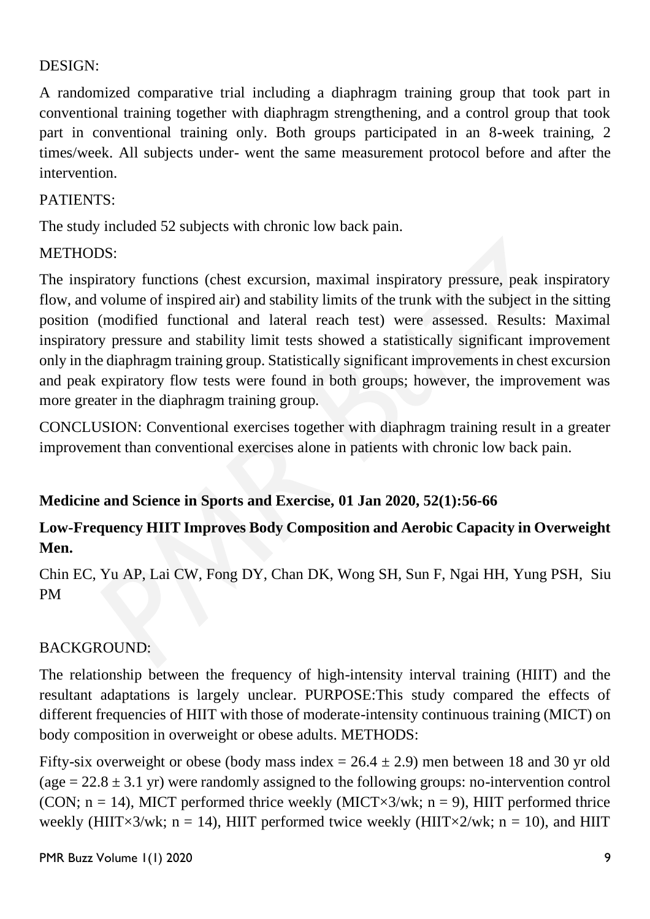#### DESIGN:

A randomized comparative trial including a diaphragm training group that took part in conventional training together with diaphragm strengthening, and a control group that took part in conventional training only. Both groups participated in an 8-week training, 2 times/week. All subjects under- went the same measurement protocol before and after the intervention.

## PATIENTS:

The study included 52 subjects with chronic low back pain.

## METHODS:

The inspiratory functions (chest excursion, maximal inspiratory pressure, peak inspiratory flow, and volume of inspired air) and stability limits of the trunk with the subject in the sitting position (modified functional and lateral reach test) were assessed. Results: Maximal inspiratory pressure and stability limit tests showed a statistically significant improvement only in the diaphragm training group. Statistically significant improvements in chest excursion and peak expiratory flow tests were found in both groups; however, the improvement was more greater in the diaphragm training group.

CONCLUSION: Conventional exercises together with diaphragm training result in a greater improvement than conventional exercises alone in patients with chronic low back pain.

## **Medicine and Science in Sports and Exercise, 01 Jan 2020, 52(1):56-66**

## **Low-Frequency HIIT Improves Body Composition and Aerobic Capacity in Overweight Men.**

Chin EC, Yu AP, Lai CW, Fong DY, Chan DK, Wong SH, Sun F, Ngai HH, Yung PSH, Siu PM

## BACKGROUND:

The relationship between the frequency of high-intensity interval training (HIIT) and the resultant adaptations is largely unclear. PURPOSE:This study compared the effects of different frequencies of HIIT with those of moderate-intensity continuous training (MICT) on body composition in overweight or obese adults. METHODS:

Fifty-six overweight or obese (body mass index  $= 26.4 \pm 2.9$ ) men between 18 and 30 yr old (age  $= 22.8 \pm 3.1$  yr) were randomly assigned to the following groups: no-intervention control (CON;  $n = 14$ ), MICT performed thrice weekly (MICT×3/wk;  $n = 9$ ), HIIT performed thrice weekly (HIIT×3/wk;  $n = 14$ ), HIIT performed twice weekly (HIIT×2/wk;  $n = 10$ ), and HIIT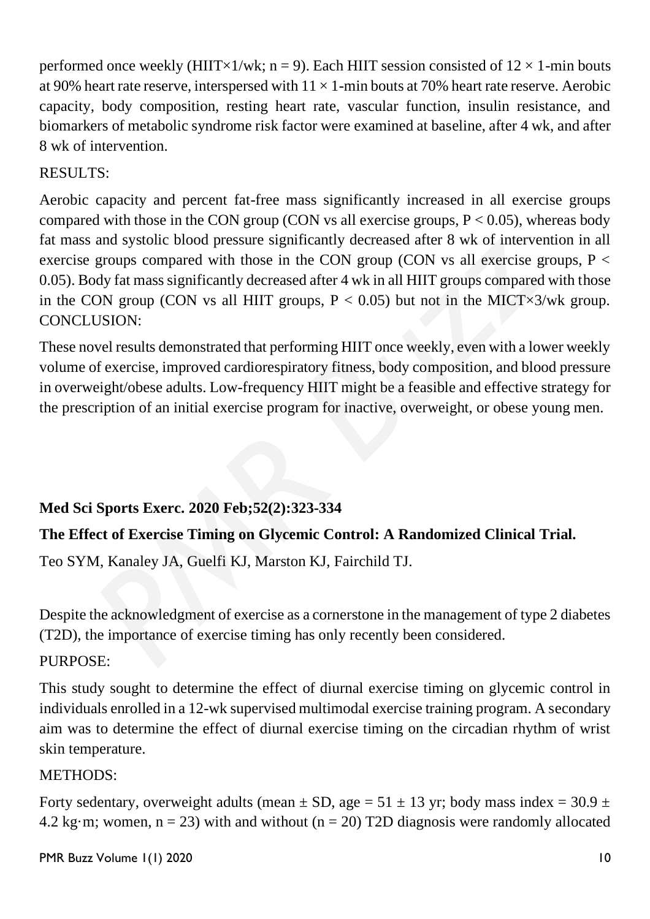performed once weekly (HIIT×1/wk; n = 9). Each HIIT session consisted of  $12 \times 1$ -min bouts at 90% heart rate reserve, interspersed with  $11 \times 1$ -min bouts at 70% heart rate reserve. Aerobic capacity, body composition, resting heart rate, vascular function, insulin resistance, and biomarkers of metabolic syndrome risk factor were examined at baseline, after 4 wk, and after 8 wk of intervention.

## RESULTS:

Aerobic capacity and percent fat-free mass significantly increased in all exercise groups compared with those in the CON group (CON vs all exercise groups,  $P < 0.05$ ), whereas body fat mass and systolic blood pressure significantly decreased after 8 wk of intervention in all exercise groups compared with those in the CON group (CON vs all exercise groups,  $P <$ 0.05). Body fat mass significantly decreased after 4 wk in all HIIT groups compared with those in the CON group (CON vs all HIIT groups,  $P < 0.05$ ) but not in the MICT $\times$ 3/wk group. CONCLUSION:

These novel results demonstrated that performing HIIT once weekly, even with a lower weekly volume of exercise, improved cardiorespiratory fitness, body composition, and blood pressure in overweight/obese adults. Low-frequency HIIT might be a feasible and effective strategy for the prescription of an initial exercise program for inactive, overweight, or obese young men.

## **Med Sci Sports Exerc. 2020 Feb;52(2):323-334**

## **The Effect of Exercise Timing on Glycemic Control: A Randomized Clinical Trial.**

Teo SYM, Kanaley JA, Guelfi KJ, Marston KJ, Fairchild TJ.

Despite the acknowledgment of exercise as a cornerstone in the management of type 2 diabetes (T2D), the importance of exercise timing has only recently been considered.

## PURPOSE:

This study sought to determine the effect of diurnal exercise timing on glycemic control in individuals enrolled in a 12-wk supervised multimodal exercise training program. A secondary aim was to determine the effect of diurnal exercise timing on the circadian rhythm of wrist skin temperature.

## METHODS:

Forty sedentary, overweight adults (mean  $\pm$  SD, age = 51  $\pm$  13 yr; body mass index = 30.9  $\pm$ 4.2 kg·m; women,  $n = 23$ ) with and without ( $n = 20$ ) T2D diagnosis were randomly allocated

PMR Buzz Volume 1(1) 2020 10 and the state of the state of the state of the state of the state of the state of the state of the state of the state of the state of the state of the state of the state of the state of the sta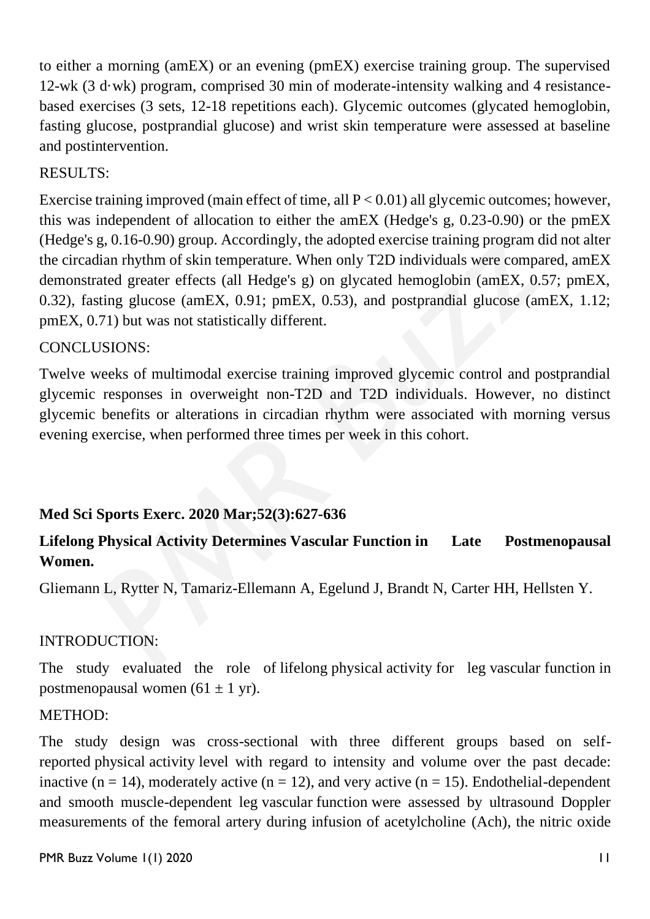to either a morning (amEX) or an evening (pmEX) exercise training group. The supervised 12-wk (3 d·wk) program, comprised 30 min of moderate-intensity walking and 4 resistancebased exercises (3 sets, 12-18 repetitions each). Glycemic outcomes (glycated hemoglobin, fasting glucose, postprandial glucose) and wrist skin temperature were assessed at baseline and postintervention.

## RESULTS:

Exercise training improved (main effect of time, all  $P < 0.01$ ) all glycemic outcomes; however, this was independent of allocation to either the amEX (Hedge's g, 0.23-0.90) or the pmEX (Hedge's g, 0.16-0.90) group. Accordingly, the adopted exercise training program did not alter the circadian rhythm of skin temperature. When only T2D individuals were compared, amEX demonstrated greater effects (all Hedge's g) on glycated hemoglobin (amEX, 0.57; pmEX, 0.32), fasting glucose (amEX, 0.91; pmEX, 0.53), and postprandial glucose (amEX, 1.12; pmEX, 0.71) but was not statistically different.

#### CONCLUSIONS:

Twelve weeks of multimodal exercise training improved glycemic control and postprandial glycemic responses in overweight non-T2D and T2D individuals. However, no distinct glycemic benefits or alterations in circadian rhythm were associated with morning versus evening exercise, when performed three times per week in this cohort.

## **Med Sci Sports Exerc. 2020 Mar;52(3):627-636**

## **Lifelong Physical Activity Determines Vascular Function in Late Postmenopausal Women.**

Gliemann L, Rytter N, Tamariz-Ellemann A, Egelund J, Brandt N, Carter HH, Hellsten Y.

## INTRODUCTION:

The study evaluated the role of lifelong physical activity for leg vascular function in postmenopausal women  $(61 \pm 1 \text{ yr})$ .

#### METHOD:

The study design was cross-sectional with three different groups based on selfreported physical activity level with regard to intensity and volume over the past decade: inactive ( $n = 14$ ), moderately active ( $n = 12$ ), and very active ( $n = 15$ ). Endothelial-dependent and smooth muscle-dependent leg vascular function were assessed by ultrasound Doppler measurements of the femoral artery during infusion of acetylcholine (Ach), the nitric oxide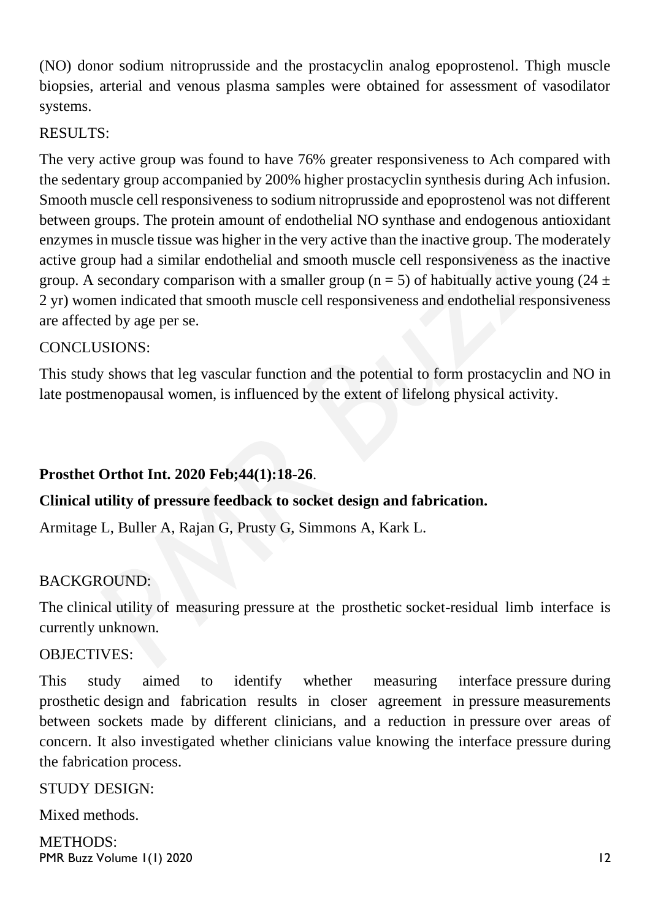(NO) donor sodium nitroprusside and the prostacyclin analog epoprostenol. Thigh muscle biopsies, arterial and venous plasma samples were obtained for assessment of vasodilator systems.

#### RESULTS:

The very active group was found to have 76% greater responsiveness to Ach compared with the sedentary group accompanied by 200% higher prostacyclin synthesis during Ach infusion. Smooth muscle cell responsiveness to sodium nitroprusside and epoprostenol was not different between groups. The protein amount of endothelial NO synthase and endogenous antioxidant enzymes in muscle tissue was higher in the very active than the inactive group. The moderately active group had a similar endothelial and smooth muscle cell responsiveness as the inactive group. A secondary comparison with a smaller group ( $n = 5$ ) of habitually active young (24  $\pm$ 2 yr) women indicated that smooth muscle cell responsiveness and endothelial responsiveness are affected by age per se.

## CONCLUSIONS:

This study shows that leg vascular function and the potential to form prostacyclin and NO in late postmenopausal women, is influenced by the extent of lifelong physical activity.

## **Prosthet Orthot Int. 2020 Feb;44(1):18-26**.

## **Clinical utility of pressure feedback to socket design and fabrication.**

Armitage L, Buller A, Rajan G, Prusty G, Simmons A, Kark L.

## BACKGROUND:

The clinical utility of measuring pressure at the prosthetic socket-residual limb interface is currently unknown.

#### OBJECTIVES:

This study aimed to identify whether measuring interface pressure during prosthetic design and fabrication results in closer agreement in pressure measurements between sockets made by different clinicians, and a reduction in pressure over areas of concern. It also investigated whether clinicians value knowing the interface pressure during the fabrication process.

#### STUDY DESIGN:

Mixed methods.

PMR Buzz Volume 1(1) 2020 12 METHODS: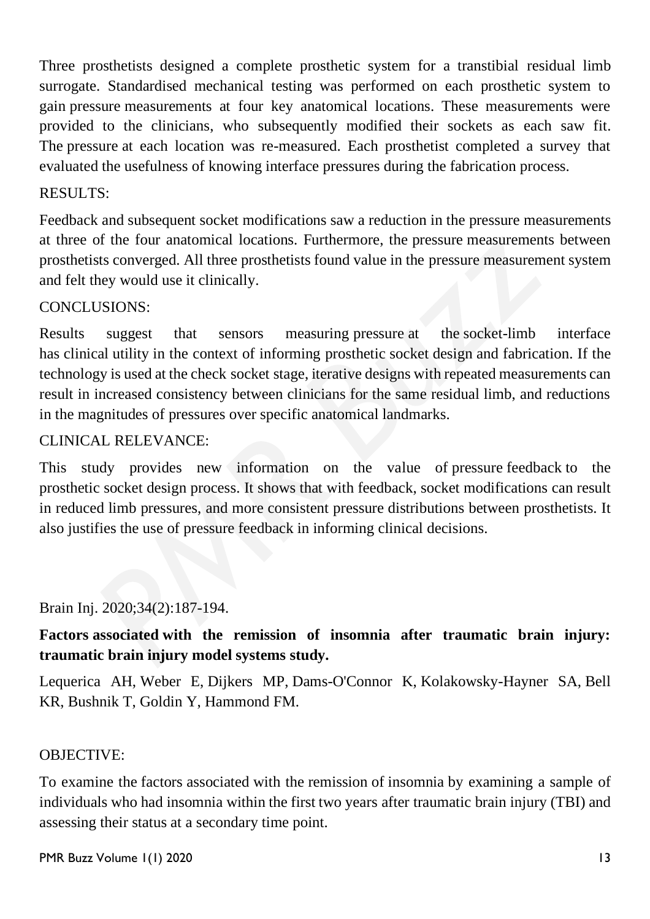Three prosthetists designed a complete prosthetic system for a transtibial residual limb surrogate. Standardised mechanical testing was performed on each prosthetic system to gain pressure measurements at four key anatomical locations. These measurements were provided to the clinicians, who subsequently modified their sockets as each saw fit. The pressure at each location was re-measured. Each prosthetist completed a survey that evaluated the usefulness of knowing interface pressures during the fabrication process.

#### RESULTS:

Feedback and subsequent socket modifications saw a reduction in the pressure measurements at three of the four anatomical locations. Furthermore, the pressure measurements between prosthetists converged. All three prosthetists found value in the pressure measurement system and felt they would use it clinically.

#### CONCLUSIONS:

Results suggest that sensors measuring pressure at the socket-limb interface has clinical utility in the context of informing prosthetic socket design and fabrication. If the technology is used at the check socket stage, iterative designs with repeated measurements can result in increased consistency between clinicians for the same residual limb, and reductions in the magnitudes of pressures over specific anatomical landmarks.

#### CLINICAL RELEVANCE:

This study provides new information on the value of pressure feedback to the prosthetic socket design process. It shows that with feedback, socket modifications can result in reduced limb pressures, and more consistent pressure distributions between prosthetists. It also justifies the use of pressure feedback in informing clinical decisions.

#### Brain Inj. 2020;34(2):187-194.

## **Factors associated with the remission of insomnia after traumatic brain injury: traumatic brain injury model systems study.**

Lequerica AH, Weber E, Dijkers MP, Dams-O'Connor K, Kolakowsky-Hayner SA, Bell KR, Bushnik T, Goldin Y, Hammond FM.

#### OBJECTIVE:

To examine the factors associated with the remission of insomnia by examining a sample of individuals who had insomnia within the first two years after traumatic brain injury (TBI) and assessing their status at a secondary time point.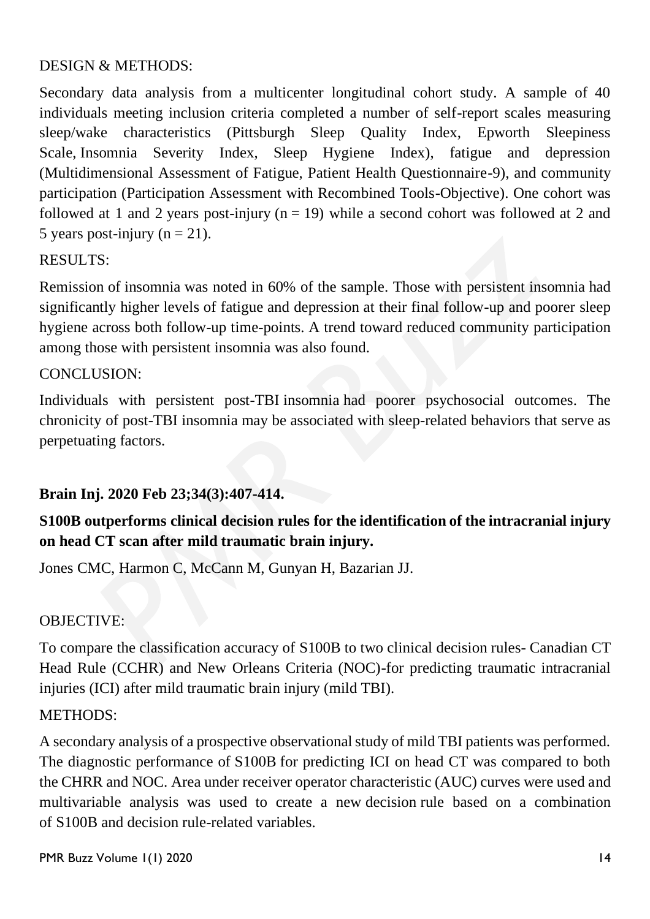#### DESIGN & METHODS:

Secondary data analysis from a multicenter longitudinal cohort study. A sample of 40 individuals meeting inclusion criteria completed a number of self-report scales measuring sleep/wake characteristics (Pittsburgh Sleep Quality Index, Epworth Sleepiness Scale, Insomnia Severity Index, Sleep Hygiene Index), fatigue and depression (Multidimensional Assessment of Fatigue, Patient Health Questionnaire-9), and community participation (Participation Assessment with Recombined Tools-Objective). One cohort was followed at 1 and 2 years post-injury ( $n = 19$ ) while a second cohort was followed at 2 and 5 years post-injury ( $n = 21$ ).

#### RESULTS:

Remission of insomnia was noted in 60% of the sample. Those with persistent insomnia had significantly higher levels of fatigue and depression at their final follow-up and poorer sleep hygiene across both follow-up time-points. A trend toward reduced community participation among those with persistent insomnia was also found.

#### CONCLUSION:

Individuals with persistent post-TBI insomnia had poorer psychosocial outcomes. The chronicity of post-TBI insomnia may be associated with sleep-related behaviors that serve as perpetuating factors.

#### **Brain Inj. 2020 Feb 23;34(3):407-414.**

## **S100B outperforms clinical decision rules for the identification of the intracranial injury on head CT scan after mild traumatic brain injury.**

Jones CMC, Harmon C, McCann M, Gunyan H, Bazarian JJ.

#### OBJECTIVE:

To compare the classification accuracy of S100B to two clinical decision rules- Canadian CT Head Rule (CCHR) and New Orleans Criteria (NOC)-for predicting traumatic intracranial injuries (ICI) after mild traumatic brain injury (mild TBI).

#### METHODS:

A secondary analysis of a prospective observational study of mild TBI patients was performed. The diagnostic performance of S100B for predicting ICI on head CT was compared to both the CHRR and NOC. Area under receiver operator characteristic (AUC) curves were used and multivariable analysis was used to create a new decision rule based on a combination of S100B and decision rule-related variables.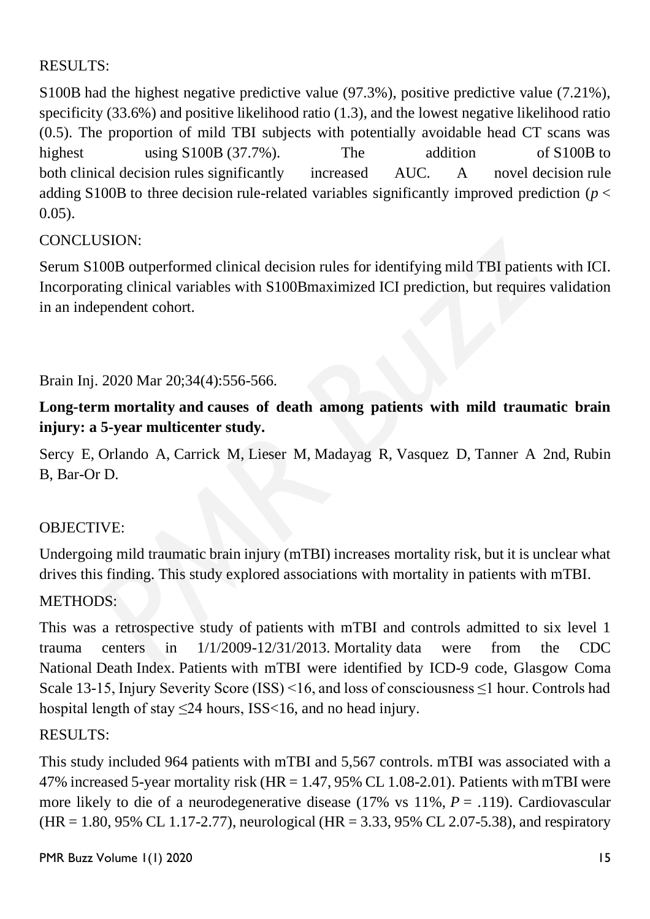## RESULTS:

S100B had the highest negative predictive value (97.3%), positive predictive value (7.21%), specificity (33.6%) and positive likelihood ratio (1.3), and the lowest negative likelihood ratio (0.5). The proportion of mild TBI subjects with potentially avoidable head CT scans was highest using S100B (37.7%). The addition of S100B to both clinical decision rules significantly increased AUC. A novel decision rule adding S100B to three decision rule-related variables significantly improved prediction ( $p <$ 0.05).

## CONCLUSION:

Serum S100B outperformed clinical decision rules for identifying mild TBI patients with ICI. Incorporating clinical variables with S100Bmaximized ICI prediction, but requires validation in an independent cohort.

Brain Inj. 2020 Mar 20;34(4):556-566.

## **Long-term mortality and causes of death among patients with mild traumatic brain injury: a 5-year multicenter study.**

Sercy E, Orlando A, Carrick M, Lieser M, Madayag R, Vasquez D, Tanner A 2nd, Rubin B, Bar-Or D.

#### OBJECTIVE:

Undergoing mild traumatic brain injury (mTBI) increases mortality risk, but it is unclear what drives this finding. This study explored associations with mortality in patients with mTBI.

#### METHODS:

This was a retrospective study of patients with mTBI and controls admitted to six level 1 trauma centers in 1/1/2009-12/31/2013. Mortality data were from the CDC National Death Index. Patients with mTBI were identified by ICD-9 code, Glasgow Coma Scale 13-15, Injury Severity Score (ISS) <16, and loss of consciousness ≤1 hour. Controls had hospital length of stay  $\leq$ 24 hours, ISS $<$ 16, and no head injury.

#### RESULTS:

This study included 964 patients with mTBI and 5,567 controls. mTBI was associated with a 47% increased 5-year mortality risk (HR = 1.47, 95% CL 1.08-2.01). Patients with mTBI were more likely to die of a neurodegenerative disease (17% vs 11%, *P* = .119). Cardiovascular  $(HR = 1.80, 95\% \, CL \, 1.17-2.77)$ , neurological  $(HR = 3.33, 95\% \, CL \, 2.07-5.38)$ , and respiratory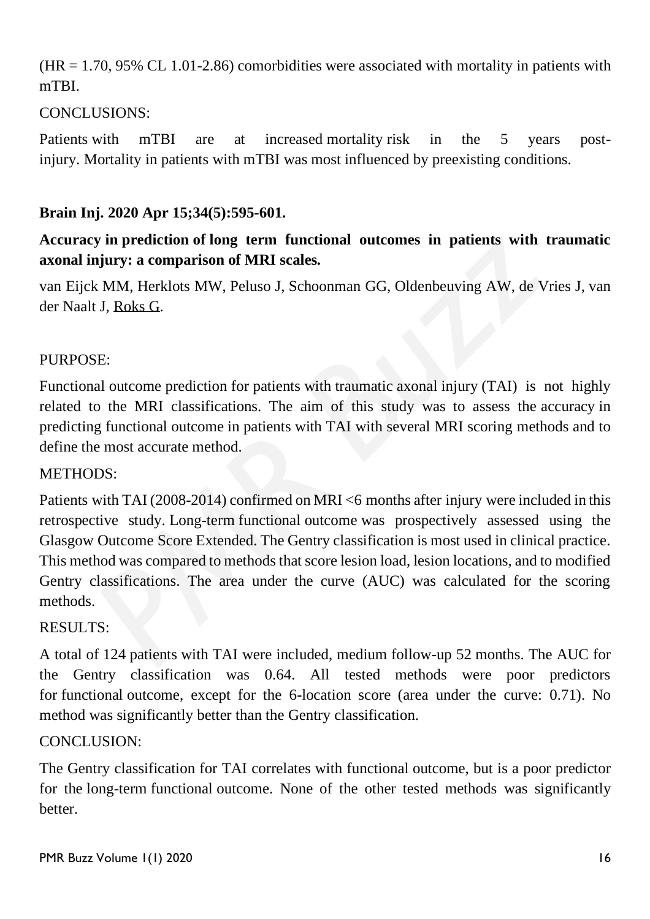$(HR = 1.70, 95\% \text{ CL } 1.01-2.86)$  comorbidities were associated with mortality in patients with mTBI.

## CONCLUSIONS:

Patients with mTBI are at increased mortality risk in the 5 years postinjury. Mortality in patients with mTBI was most influenced by preexisting conditions.

## **Brain Inj. 2020 Apr 15;34(5):595-601.**

## **Accuracy in prediction of long term functional outcomes in patients with traumatic axonal injury: a comparison of MRI scales.**

van Eijck MM, Herklots MW, Peluso J, Schoonman GG, Oldenbeuving AW, de Vries J, van der Naalt J, [Roks G.](https://www.ncbi.nlm.nih.gov/pubmed/?term=Roks%20G%5BAuthor%5D&cauthor=true&cauthor_uid=32216554)

#### PURPOSE:

Functional outcome prediction for patients with traumatic axonal injury (TAI) is not highly related to the MRI classifications. The aim of this study was to assess the accuracy in predicting functional outcome in patients with TAI with several MRI scoring methods and to define the most accurate method.

#### METHODS:

Patients with TAI (2008-2014) confirmed on MRI <6 months after injury were included in this retrospective study. Long-term functional outcome was prospectively assessed using the Glasgow Outcome Score Extended. The Gentry classification is most used in clinical practice. This method was compared to methods that score lesion load, lesion locations, and to modified Gentry classifications. The area under the curve (AUC) was calculated for the scoring methods.

#### RESULTS:

A total of 124 patients with TAI were included, medium follow-up 52 months. The AUC for the Gentry classification was 0.64. All tested methods were poor predictors for functional outcome, except for the 6-location score (area under the curve: 0.71). No method was significantly better than the Gentry classification.

#### CONCLUSION:

The Gentry classification for TAI correlates with functional outcome, but is a poor predictor for the long-term functional outcome. None of the other tested methods was significantly **better**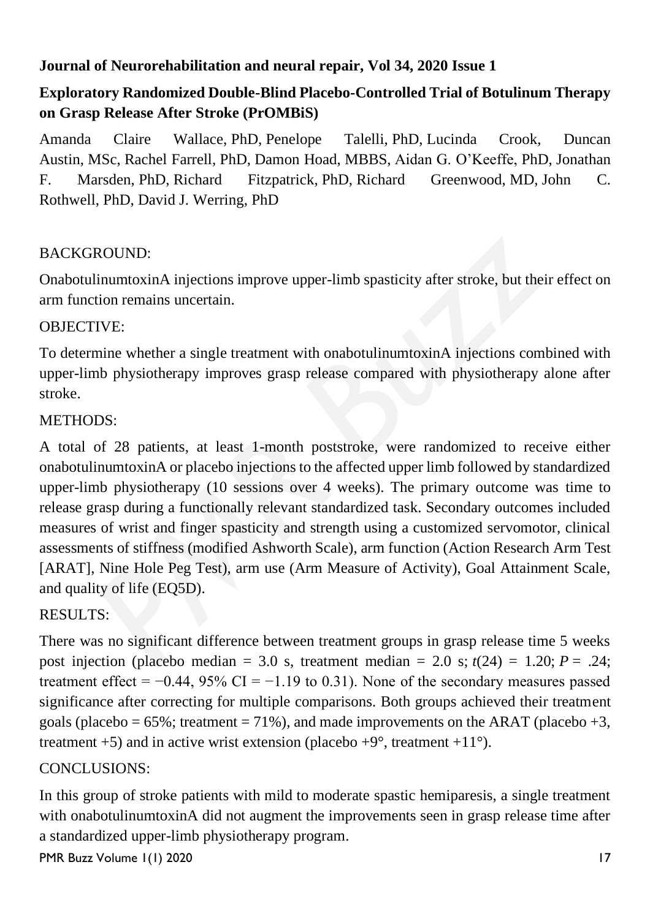## **Journal of Neurorehabilitation and neural repair, Vol 34, 2020 Issue 1**

## **Exploratory Randomized Double-Blind Placebo-Controlled Trial of Botulinum Therapy on Grasp Release After Stroke (PrOMBiS)**

Amanda Claire Wallace, PhD, Penelope Talelli, PhD, Lucinda Crook, Duncan Austin, MSc, Rachel Farrell, PhD, Damon Hoad, MBBS, Aidan G. O'Keeffe, PhD, Jonathan F. Marsden, PhD, Richard Fitzpatrick, PhD, Richard Greenwood, MD, John C. Rothwell, PhD, David J. Werring, PhD

## BACKGROUND:

OnabotulinumtoxinA injections improve upper-limb spasticity after stroke, but their effect on arm function remains uncertain.

#### OBJECTIVE:

To determine whether a single treatment with onabotulinumtoxinA injections combined with upper-limb physiotherapy improves grasp release compared with physiotherapy alone after stroke.

#### METHODS:

A total of 28 patients, at least 1-month poststroke, were randomized to receive either onabotulinumtoxinA or placebo injections to the affected upper limb followed by standardized upper-limb physiotherapy (10 sessions over 4 weeks). The primary outcome was time to release grasp during a functionally relevant standardized task. Secondary outcomes included measures of wrist and finger spasticity and strength using a customized servomotor, clinical assessments of stiffness (modified Ashworth Scale), arm function (Action Research Arm Test [ARAT], Nine Hole Peg Test), arm use (Arm Measure of Activity), Goal Attainment Scale, and quality of life (EQ5D).

#### RESULTS:

There was no significant difference between treatment groups in grasp release time 5 weeks post injection (placebo median = 3.0 s, treatment median = 2.0 s;  $t(24) = 1.20$ ;  $P = .24$ ; treatment effect =  $-0.44$ , 95% CI =  $-1.19$  to 0.31). None of the secondary measures passed significance after correcting for multiple comparisons. Both groups achieved their treatment goals (placebo =  $65\%$ ; treatment =  $71\%$ ), and made improvements on the ARAT (placebo +3, treatment +5) and in active wrist extension (placebo +9 $^{\circ}$ , treatment +11 $^{\circ}$ ).

#### CONCLUSIONS:

In this group of stroke patients with mild to moderate spastic hemiparesis, a single treatment with onabotulinumtoxinA did not augment the improvements seen in grasp release time after a standardized upper-limb physiotherapy program.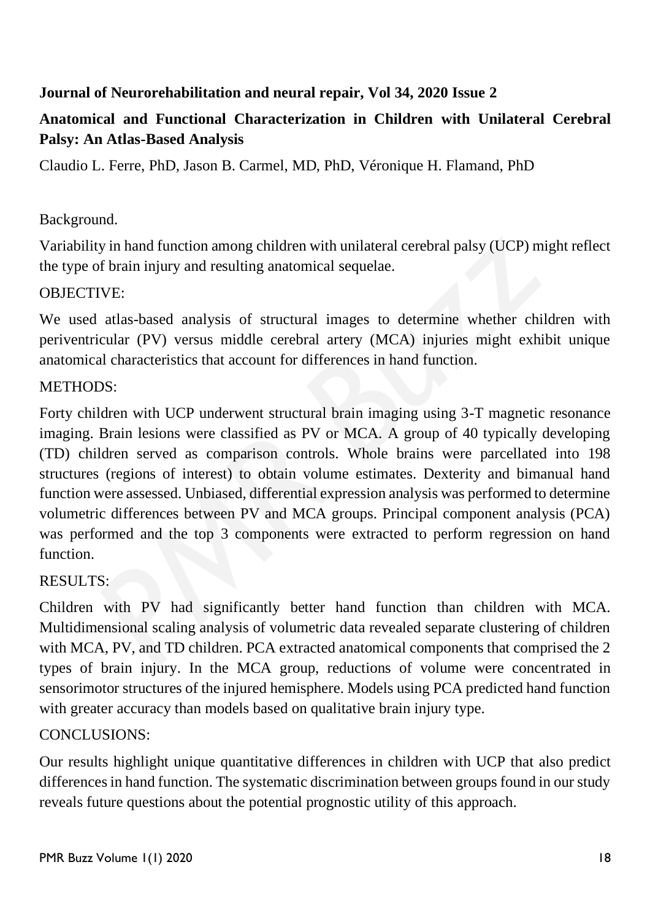## **Journal of Neurorehabilitation and neural repair, Vol 34, 2020 Issue 2**

## **Anatomical and Functional Characterization in Children with Unilateral Cerebral Palsy: An Atlas-Based Analysis**

Claudio L. Ferre, PhD, Jason B. Carmel, MD, PhD, Véronique H. Flamand, PhD

## Background.

Variability in hand function among children with unilateral cerebral palsy (UCP) might reflect the type of brain injury and resulting anatomical sequelae.

#### OBJECTIVE:

We used atlas-based analysis of structural images to determine whether children with periventricular (PV) versus middle cerebral artery (MCA) injuries might exhibit unique anatomical characteristics that account for differences in hand function.

#### METHODS:

Forty children with UCP underwent structural brain imaging using 3-T magnetic resonance imaging. Brain lesions were classified as PV or MCA. A group of 40 typically developing (TD) children served as comparison controls. Whole brains were parcellated into 198 structures (regions of interest) to obtain volume estimates. Dexterity and bimanual hand function were assessed. Unbiased, differential expression analysis was performed to determine volumetric differences between PV and MCA groups. Principal component analysis (PCA) was performed and the top 3 components were extracted to perform regression on hand function.

#### RESULTS:

Children with PV had significantly better hand function than children with MCA. Multidimensional scaling analysis of volumetric data revealed separate clustering of children with MCA, PV, and TD children. PCA extracted anatomical components that comprised the 2 types of brain injury. In the MCA group, reductions of volume were concentrated in sensorimotor structures of the injured hemisphere. Models using PCA predicted hand function with greater accuracy than models based on qualitative brain injury type.

## CONCLUSIONS:

Our results highlight unique quantitative differences in children with UCP that also predict differences in hand function. The systematic discrimination between groups found in our study reveals future questions about the potential prognostic utility of this approach.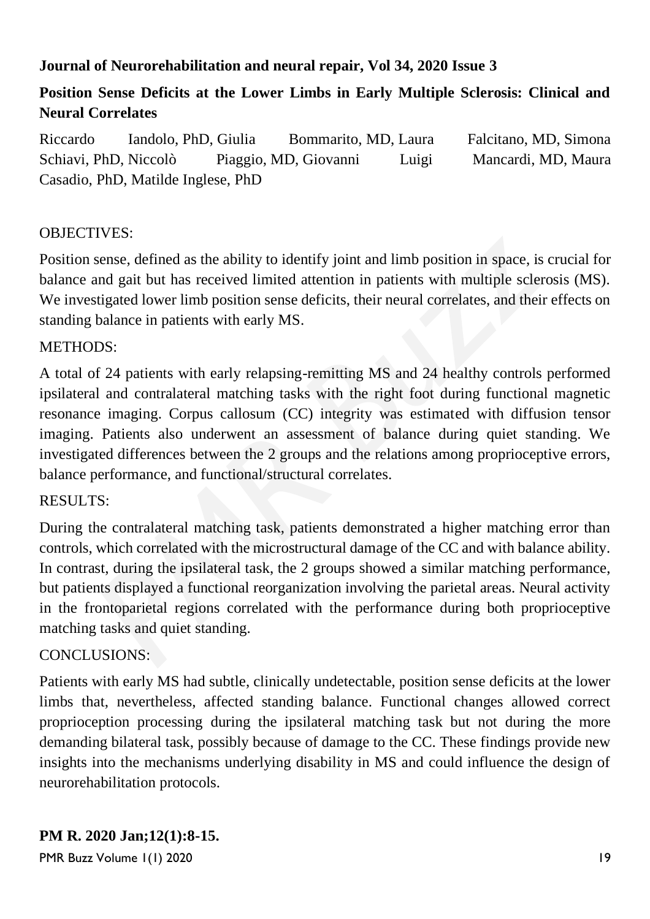## **Journal of Neurorehabilitation and neural repair, Vol 34, 2020 Issue 3**

## **Position Sense Deficits at the Lower Limbs in Early Multiple Sclerosis: Clinical and Neural Correlates**

Riccardo Iandolo, PhD, Giulia Bommarito, MD, Laura Falcitano, MD, Simona Schiavi, PhD, Niccolò Piaggio, MD, Giovanni Luigi Mancardi, MD, Maura Casadio, PhD, Matilde Inglese, PhD

#### OBJECTIVES:

Position sense, defined as the ability to identify joint and limb position in space, is crucial for balance and gait but has received limited attention in patients with multiple sclerosis (MS). We investigated lower limb position sense deficits, their neural correlates, and their effects on standing balance in patients with early MS.

#### METHODS:

A total of 24 patients with early relapsing-remitting MS and 24 healthy controls performed ipsilateral and contralateral matching tasks with the right foot during functional magnetic resonance imaging. Corpus callosum (CC) integrity was estimated with diffusion tensor imaging. Patients also underwent an assessment of balance during quiet standing. We investigated differences between the 2 groups and the relations among proprioceptive errors, balance performance, and functional/structural correlates.

#### RESULTS:

During the contralateral matching task, patients demonstrated a higher matching error than controls, which correlated with the microstructural damage of the CC and with balance ability. In contrast, during the ipsilateral task, the 2 groups showed a similar matching performance, but patients displayed a functional reorganization involving the parietal areas. Neural activity in the frontoparietal regions correlated with the performance during both proprioceptive matching tasks and quiet standing.

#### CONCLUSIONS:

Patients with early MS had subtle, clinically undetectable, position sense deficits at the lower limbs that, nevertheless, affected standing balance. Functional changes allowed correct proprioception processing during the ipsilateral matching task but not during the more demanding bilateral task, possibly because of damage to the CC. These findings provide new insights into the mechanisms underlying disability in MS and could influence the design of neurorehabilitation protocols.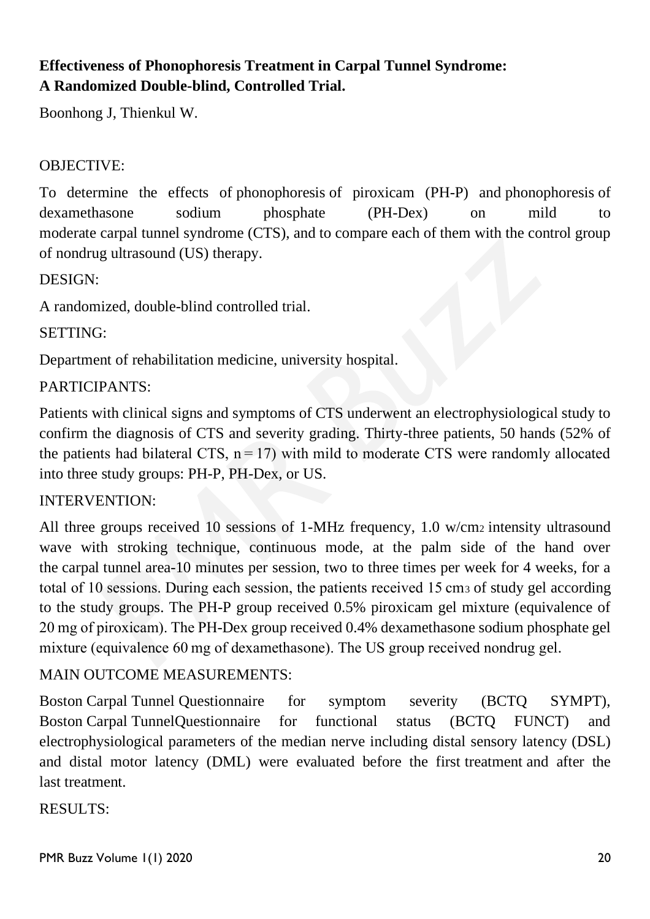## **Effectiveness of Phonophoresis Treatment in Carpal Tunnel Syndrome: A Randomized Double-blind, Controlled Trial.**

Boonhong J, Thienkul W.

## OBJECTIVE:

To determine the effects of phonophoresis of piroxicam (PH-P) and phonophoresis of dexamethasone sodium phosphate (PH-Dex) on mild to moderate carpal tunnel syndrome (CTS), and to compare each of them with the control group of nondrug ultrasound (US) therapy.

DESIGN:

A randomized, double-blind controlled trial.

SETTING:

Department of rehabilitation medicine, university hospital.

## PARTICIPANTS:

Patients with clinical signs and symptoms of CTS underwent an electrophysiological study to confirm the diagnosis of CTS and severity grading. Thirty-three patients, 50 hands (52% of the patients had bilateral CTS,  $n = 17$ ) with mild to moderate CTS were randomly allocated into three study groups: PH-P, PH-Dex, or US.

#### INTERVENTION:

All three groups received 10 sessions of 1-MHz frequency, 1.0 w/cm2 intensity ultrasound wave with stroking technique, continuous mode, at the palm side of the hand over the carpal tunnel area-10 minutes per session, two to three times per week for 4 weeks, for a total of 10 sessions. During each session, the patients received 15 cm<sup>3</sup> of study gel according to the study groups. The PH-P group received 0.5% piroxicam gel mixture (equivalence of 20 mg of piroxicam). The PH-Dex group received 0.4% dexamethasone sodium phosphate gel mixture (equivalence 60 mg of dexamethasone). The US group received nondrug gel.

#### MAIN OUTCOME MEASUREMENTS:

Boston Carpal Tunnel Questionnaire for symptom severity (BCTQ SYMPT), Boston Carpal TunnelQuestionnaire for functional status (BCTQ FUNCT) and electrophysiological parameters of the median nerve including distal sensory latency (DSL) and distal motor latency (DML) were evaluated before the first treatment and after the last treatment.

#### RESULTS: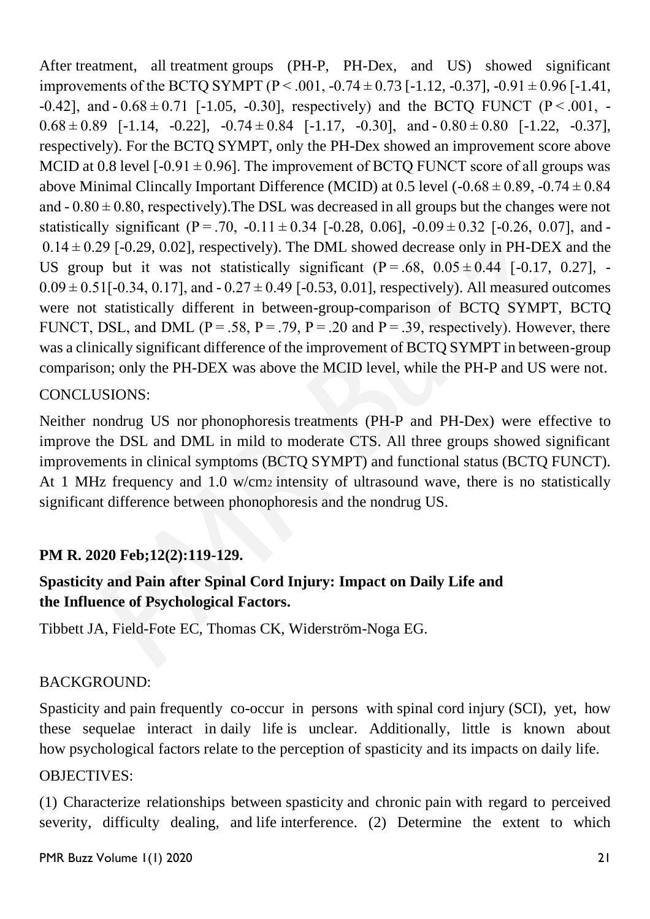After treatment, all treatment groups (PH-P, PH-Dex, and US) showed significant improvements of the BCTQ SYMPT ( $P < .001, -0.74 \pm 0.73$  [-1.12, -0.37], -0.91  $\pm 0.96$  [-1.41, -0.42], and  $-0.68 \pm 0.71$  [-1.05, -0.30], respectively) and the BCTQ FUNCT (P < 0.01, -0.68 $\pm$ 0.89 [-1.14, -0.22], -0.74 $\pm$ 0.84 [-1.17, -0.30], and -0.80 $\pm$ 0.80 [-1.22, -0.37], respectively). For the BCTQ SYMPT, only the PH-Dex showed an improvement score above MCID at 0.8 level  $[-0.91 \pm 0.96]$ . The improvement of BCTQ FUNCT score of all groups was above Minimal Clincally Important Difference (MCID) at 0.5 level  $(-0.68 \pm 0.89, -0.74 \pm 0.84)$ and  $-0.80 \pm 0.80$ , respectively). The DSL was decreased in all groups but the changes were not statistically significant (P = .70, -0.11  $\pm$  0.34 [-0.28, 0.06], -0.09 $\pm$  0.32 [-0.26, 0.07], and - $0.14 \pm 0.29$  [-0.29, 0.02], respectively). The DML showed decrease only in PH-DEX and the US group but it was not statistically significant  $(P = .68, 0.05 \pm 0.44$  [-0.17, 0.27], - $0.09 \pm 0.51$ [-0.34, 0.17], and  $-0.27 \pm 0.49$  [-0.53, 0.01], respectively). All measured outcomes were not statistically different in between-group-comparison of BCTQ SYMPT, BCTQ FUNCT, DSL, and DML ( $P = .58$ ,  $P = .79$ ,  $P = .20$  and  $P = .39$ , respectively). However, there was a clinically significant difference of the improvement of BCTQ SYMPT in between-group comparison; only the PH-DEX was above the MCID level, while the PH-P and US were not.

#### CONCLUSIONS:

Neither nondrug US nor phonophoresis treatments (PH-P and PH-Dex) were effective to improve the DSL and DML in mild to moderate CTS. All three groups showed significant improvements in clinical symptoms (BCTQ SYMPT) and functional status (BCTQ FUNCT). At 1 MHz frequency and 1.0 w/cm<sup>2</sup> intensity of ultrasound wave, there is no statistically significant difference between phonophoresis and the nondrug US.

#### **PM R. 2020 Feb;12(2):119-129.**

## **Spasticity and Pain after Spinal Cord Injury: Impact on Daily Life and the Influence of Psychological Factors.**

Tibbett JA, Field-Fote EC, Thomas CK, Widerström-Noga EG.

#### BACKGROUND:

Spasticity and pain frequently co-occur in persons with spinal cord injury (SCI), yet, how these sequelae interact in daily life is unclear. Additionally, little is known about how psychological factors relate to the perception of spasticity and its impacts on daily life.

#### OBJECTIVES:

(1) Characterize relationships between spasticity and chronic pain with regard to perceived severity, difficulty dealing, and life interference. (2) Determine the extent to which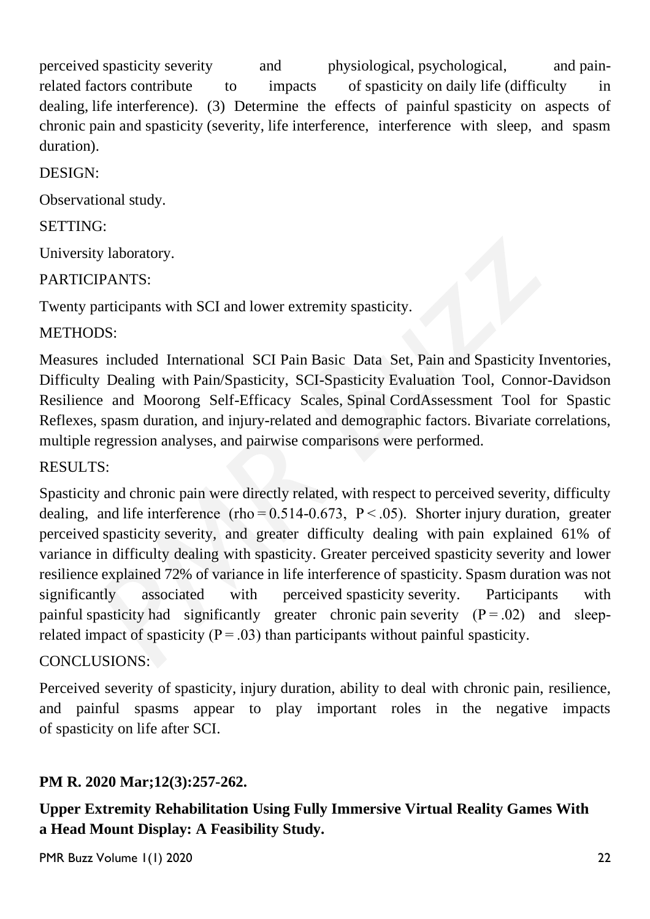perceived spasticity severity and physiological, psychological, and painrelated factors contribute to impacts of spasticity on daily life (difficulty in dealing, life interference). (3) Determine the effects of painful spasticity on aspects of chronic pain and spasticity (severity, life interference, interference with sleep, and spasm duration).

## DESIGN:

Observational study.

## SETTING:

University laboratory.

## PARTICIPANTS:

Twenty participants with SCI and lower extremity spasticity.

## METHODS<sup>.</sup>

Measures included International SCI Pain Basic Data Set, Pain and Spasticity Inventories, Difficulty Dealing with Pain/Spasticity, SCI-Spasticity Evaluation Tool, Connor-Davidson Resilience and Moorong Self-Efficacy Scales, Spinal CordAssessment Tool for Spastic Reflexes, spasm duration, and injury-related and demographic factors. Bivariate correlations, multiple regression analyses, and pairwise comparisons were performed.

## RESULTS:

Spasticity and chronic pain were directly related, with respect to perceived severity, difficulty dealing, and life interference (rho $= 0.514 - 0.673$ , P $\leq$ .05). Shorter injury duration, greater perceived spasticity severity, and greater difficulty dealing with pain explained 61% of variance in difficulty dealing with spasticity. Greater perceived spasticity severity and lower resilience explained 72% of variance in life interference of spasticity. Spasm duration was not significantly associated with perceived spasticity severity. Participants with painful spasticity had significantly greater chronic pain severity  $(P = .02)$  and sleeprelated impact of spasticity ( $P = .03$ ) than participants without painful spasticity.

## CONCLUSIONS:

Perceived severity of spasticity, injury duration, ability to deal with chronic pain, resilience, and painful spasms appear to play important roles in the negative impacts of spasticity on life after SCI.

## **PM R. 2020 Mar;12(3):257-262.**

**Upper Extremity Rehabilitation Using Fully Immersive Virtual Reality Games With a Head Mount Display: A Feasibility Study.**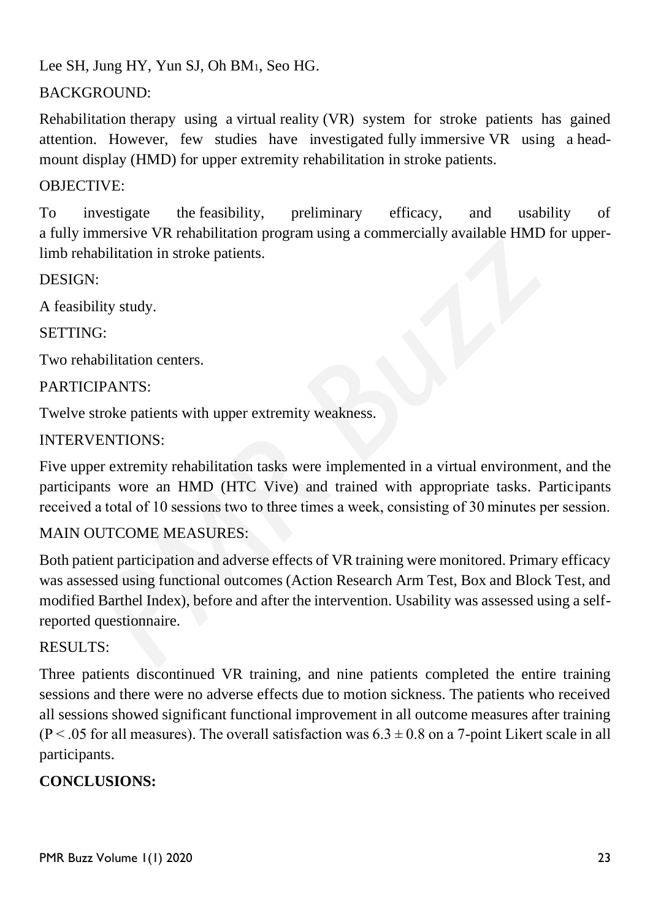Lee SH, Jung HY, Yun SJ, Oh BM1, Seo HG.

## BACKGROUND:

Rehabilitation therapy using a virtual reality (VR) system for stroke patients has gained attention. However, few studies have investigated fully immersive VR using a headmount display (HMD) for upper extremity rehabilitation in stroke patients.

## OBJECTIVE:

To investigate the feasibility, preliminary efficacy, and usability of a fully immersive VR rehabilitation program using a commercially available HMD for upperlimb rehabilitation in stroke patients.

DESIGN:

A feasibility study.

SETTING:

Two rehabilitation centers.

## PARTICIPANTS:

Twelve stroke patients with upper extremity weakness.

## INTERVENTIONS:

Five upper extremity rehabilitation tasks were implemented in a virtual environment, and the participants wore an HMD (HTC Vive) and trained with appropriate tasks. Participants received a total of 10 sessions two to three times a week, consisting of 30 minutes per session.

## MAIN OUTCOME MEASURES:

Both patient participation and adverse effects of VR training were monitored. Primary efficacy was assessed using functional outcomes (Action Research Arm Test, Box and Block Test, and modified Barthel Index), before and after the intervention. Usability was assessed using a selfreported questionnaire.

#### RESULTS:

Three patients discontinued VR training, and nine patients completed the entire training sessions and there were no adverse effects due to motion sickness. The patients who received all sessions showed significant functional improvement in all outcome measures after training  $(P<.05$  for all measures). The overall satisfaction was  $6.3 \pm 0.8$  on a 7-point Likert scale in all participants.

## **CONCLUSIONS:**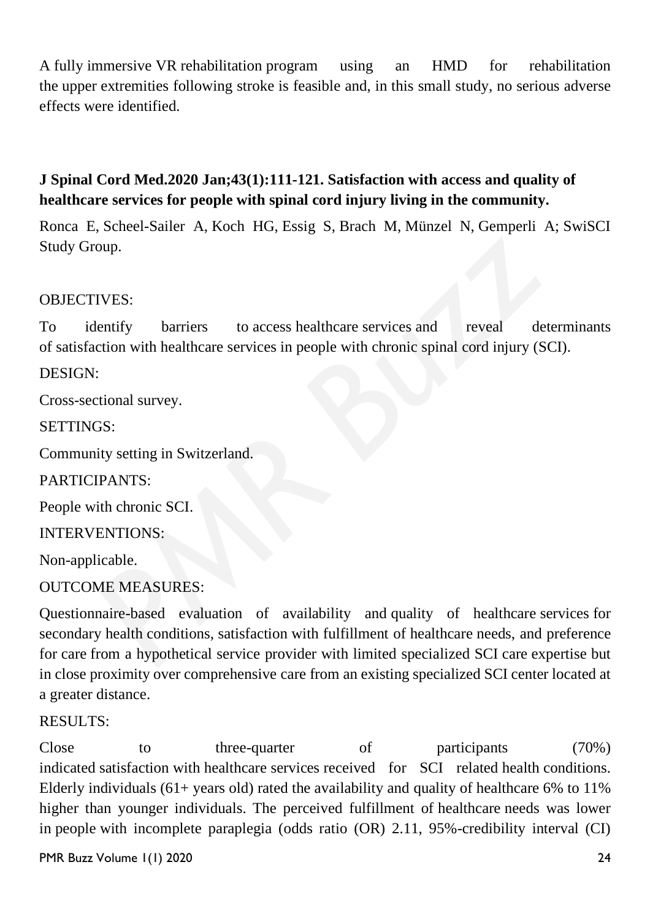A fully immersive VR rehabilitation program using an HMD for rehabilitation the upper extremities following stroke is feasible and, in this small study, no serious adverse effects were identified.

## **J Spinal Cord Med.2020 Jan;43(1):111-121. Satisfaction with access and quality of healthcare services for people with spinal cord injury living in the community.**

Ronca E, Scheel-Sailer A, Koch HG, Essig S, Brach M, Münzel N, Gemperli A; SwiSCI Study Group.

#### OBJECTIVES:

To identify barriers to access healthcare services and reveal determinants of satisfaction with healthcare services in people with chronic spinal cord injury (SCI).

#### DESIGN:

Cross-sectional survey.

#### SETTINGS:

Community setting in Switzerland.

PARTICIPANTS:

People with chronic SCI.

INTERVENTIONS:

Non-applicable.

OUTCOME MEASURES:

Questionnaire-based evaluation of availability and quality of healthcare services for secondary health conditions, satisfaction with fulfillment of healthcare needs, and preference for care from a hypothetical service provider with limited specialized SCI care expertise but in close proximity over comprehensive care from an existing specialized SCI center located at a greater distance.

#### RESULTS:

Close to three-quarter of participants (70%) indicated satisfaction with healthcare services received for SCI related health conditions. Elderly individuals  $(61+$  years old) rated the availability and quality of healthcare 6% to 11% higher than younger individuals. The perceived fulfillment of healthcare needs was lower in people with incomplete paraplegia (odds ratio (OR) 2.11, 95%-credibility interval (CI)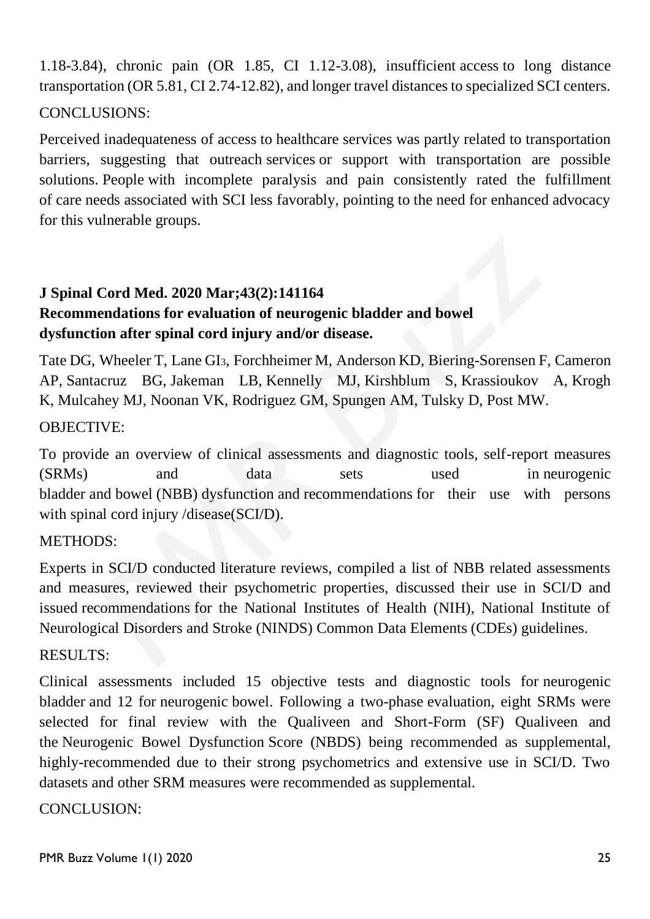1.18-3.84), chronic pain (OR 1.85, CI 1.12-3.08), insufficient access to long distance transportation (OR 5.81, CI 2.74-12.82), and longer travel distances to specialized SCI centers.

## CONCLUSIONS:

Perceived inadequateness of access to healthcare services was partly related to transportation barriers, suggesting that outreach services or support with transportation are possible solutions. People with incomplete paralysis and pain consistently rated the fulfillment of care needs associated with SCI less favorably, pointing to the need for enhanced advocacy for this vulnerable groups.

## **J Spinal Cord Med. 2020 Mar;43(2):141164 Recommendations for evaluation of neurogenic bladder and bowel dysfunction after spinal cord injury and/or disease.**

Tate DG, Wheeler T, Lane GI3, Forchheimer M, Anderson KD, Biering-Sorensen F, Cameron AP, Santacruz BG, Jakeman LB, Kennelly MJ, Kirshblum S, Krassioukov A, Krogh K, Mulcahey MJ, Noonan VK, Rodriguez GM, Spungen AM, Tulsky D, Post MW.

#### OBJECTIVE:

To provide an overview of clinical assessments and diagnostic tools, self-report measures (SRMs) and data sets used in neurogenic bladder and bowel (NBB) dysfunction and recommendations for their use with persons with spinal cord injury /disease(SCI/D).

#### METHODS:

Experts in SCI/D conducted literature reviews, compiled a list of NBB related assessments and measures, reviewed their psychometric properties, discussed their use in SCI/D and issued recommendations for the National Institutes of Health (NIH), National Institute of Neurological Disorders and Stroke (NINDS) Common Data Elements (CDEs) guidelines.

#### RESULTS:

Clinical assessments included 15 objective tests and diagnostic tools for neurogenic bladder and 12 for neurogenic bowel. Following a two-phase evaluation, eight SRMs were selected for final review with the Qualiveen and Short-Form (SF) Qualiveen and the Neurogenic Bowel Dysfunction Score (NBDS) being recommended as supplemental, highly-recommended due to their strong psychometrics and extensive use in SCI/D. Two datasets and other SRM measures were recommended as supplemental.

#### CONCLUSION: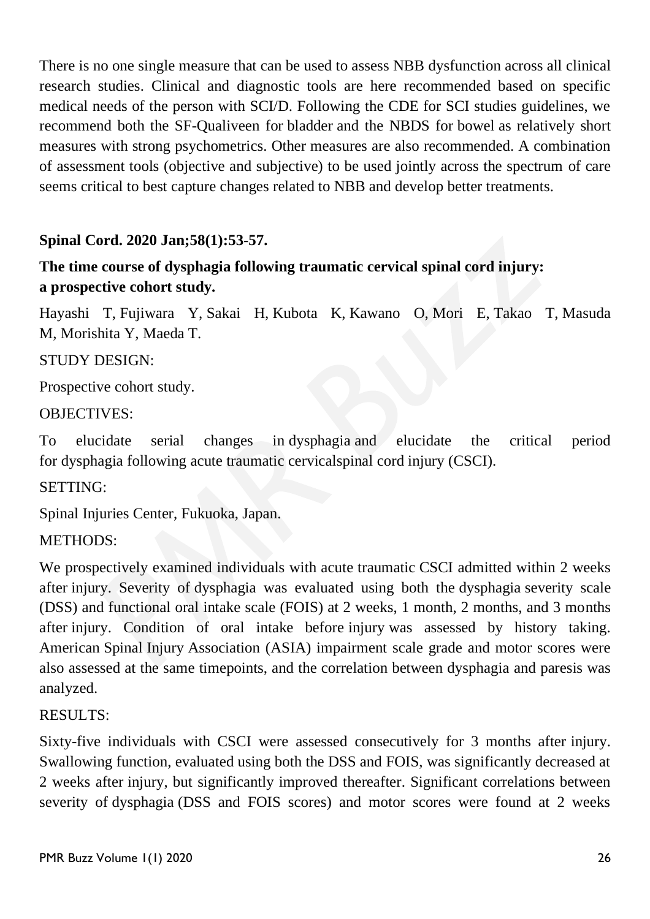There is no one single measure that can be used to assess NBB dysfunction across all clinical research studies. Clinical and diagnostic tools are here recommended based on specific medical needs of the person with SCI/D. Following the CDE for SCI studies guidelines, we recommend both the SF-Qualiveen for bladder and the NBDS for bowel as relatively short measures with strong psychometrics. Other measures are also recommended. A combination of assessment tools (objective and subjective) to be used jointly across the spectrum of care seems critical to best capture changes related to NBB and develop better treatments.

## **Spinal Cord. 2020 Jan;58(1):53-57.**

## **The time course of dysphagia following traumatic cervical spinal cord injury: a prospective cohort study.**

Hayashi T, Fujiwara Y, Sakai H, Kubota K, Kawano O, Mori E, Takao T, Masuda M, Morishita Y, Maeda T.

#### STUDY DESIGN:

Prospective cohort study.

#### OBJECTIVES:

To elucidate serial changes in dysphagia and elucidate the critical period for dysphagia following acute traumatic cervicalspinal cord injury (CSCI).

#### SETTING:

Spinal Injuries Center, Fukuoka, Japan.

#### METHODS:

We prospectively examined individuals with acute traumatic CSCI admitted within 2 weeks after injury. Severity of dysphagia was evaluated using both the dysphagia severity scale (DSS) and functional oral intake scale (FOIS) at 2 weeks, 1 month, 2 months, and 3 months after injury. Condition of oral intake before injury was assessed by history taking. American Spinal Injury Association (ASIA) impairment scale grade and motor scores were also assessed at the same timepoints, and the correlation between dysphagia and paresis was analyzed.

#### RESULTS:

Sixty-five individuals with CSCI were assessed consecutively for 3 months after injury. Swallowing function, evaluated using both the DSS and FOIS, was significantly decreased at 2 weeks after injury, but significantly improved thereafter. Significant correlations between severity of dysphagia (DSS and FOIS scores) and motor scores were found at 2 weeks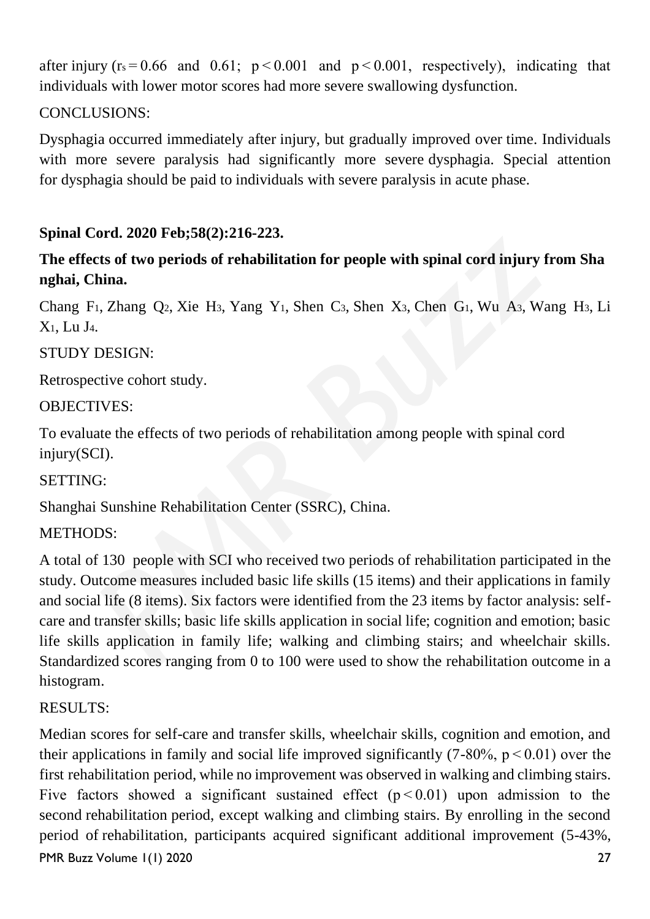after injury ( $r_s = 0.66$  and 0.61;  $p < 0.001$  and  $p < 0.001$ , respectively), indicating that individuals with lower motor scores had more severe swallowing dysfunction.

## CONCLUSIONS:

Dysphagia occurred immediately after injury, but gradually improved over time. Individuals with more severe paralysis had significantly more severe dysphagia. Special attention for dysphagia should be paid to individuals with severe paralysis in acute phase.

## **Spinal Cord. 2020 Feb;58(2):216-223.**

## **The effects of two periods of rehabilitation for people with spinal cord injury from Sha nghai, China.**

Chang F1, Zhang Q2, Xie H3, Yang Y1, Shen C3, Shen X3, Chen G1, Wu A3, Wang H3, Li X1, Lu J4.

## STUDY DESIGN:

Retrospective cohort study.

## OBJECTIVES:

To evaluate the effects of two periods of rehabilitation among people with spinal cord injury(SCI).

#### SETTING:

Shanghai Sunshine Rehabilitation Center (SSRC), China.

## METHODS:

A total of 130 people with SCI who received two periods of rehabilitation participated in the study. Outcome measures included basic life skills (15 items) and their applications in family and social life (8 items). Six factors were identified from the 23 items by factor analysis: selfcare and transfer skills; basic life skills application in social life; cognition and emotion; basic life skills application in family life; walking and climbing stairs; and wheelchair skills. Standardized scores ranging from 0 to 100 were used to show the rehabilitation outcome in a histogram.

## RESULTS:

PMR Buzz Volume 1(1) 2020 27 Median scores for self-care and transfer skills, wheelchair skills, cognition and emotion, and their applications in family and social life improved significantly  $(7-80\% , p < 0.01)$  over the first rehabilitation period, while no improvement was observed in walking and climbing stairs. Five factors showed a significant sustained effect  $(p < 0.01)$  upon admission to the second rehabilitation period, except walking and climbing stairs. By enrolling in the second period of rehabilitation, participants acquired significant additional improvement (5-43%,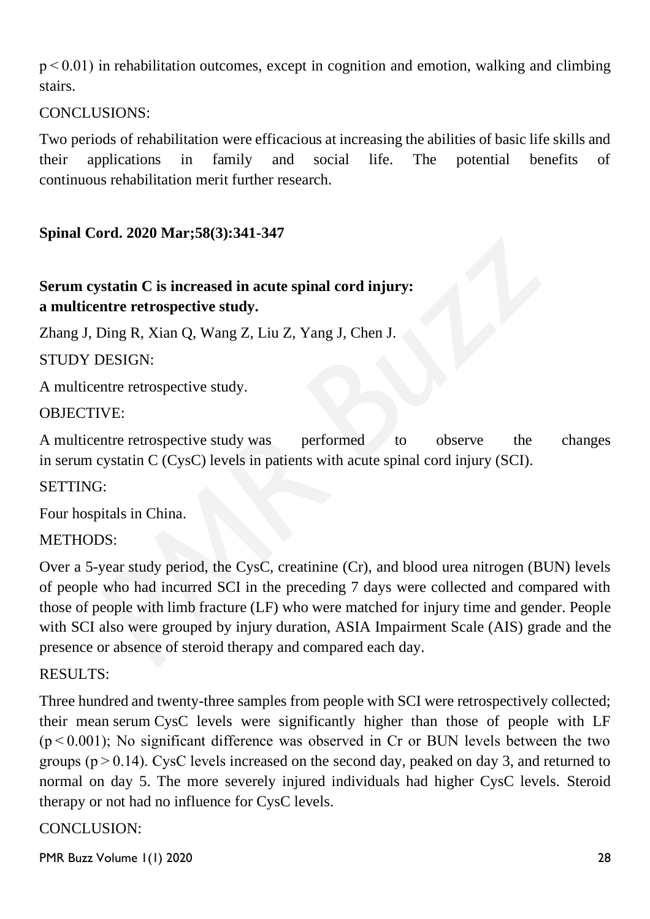$p < 0.01$ ) in rehabilitation outcomes, except in cognition and emotion, walking and climbing stairs.

CONCLUSIONS:

Two periods of rehabilitation were efficacious at increasing the abilities of basic life skills and their applications in family and social life. The potential benefits of continuous rehabilitation merit further research.

**Spinal Cord. 2020 Mar;58(3):341-347**

# **Serum cystatin C is increased in acute spinal cord injury: a multicentre retrospective study.**

Zhang J, Ding R, Xian Q, Wang Z, Liu Z, Yang J, Chen J.

STUDY DESIGN:

A multicentre retrospective study.

## OBJECTIVE:

A multicentre retrospective study was performed to observe the changes in serum cystatin C (CysC) levels in patients with acute spinal cord injury (SCI).

SETTING:

Four hospitals in China.

## METHODS:

Over a 5-year study period, the CysC, creatinine (Cr), and blood urea nitrogen (BUN) levels of people who had incurred SCI in the preceding 7 days were collected and compared with those of people with limb fracture (LF) who were matched for injury time and gender. People with SCI also were grouped by injury duration, ASIA Impairment Scale (AIS) grade and the presence or absence of steroid therapy and compared each day.

## RESULTS:

Three hundred and twenty-three samples from people with SCI were retrospectively collected; their mean serum CysC levels were significantly higher than those of people with LF  $(p<0.001)$ ; No significant difference was observed in Cr or BUN levels between the two groups ( $p > 0.14$ ). CysC levels increased on the second day, peaked on day 3, and returned to normal on day 5. The more severely injured individuals had higher CysC levels. Steroid therapy or not had no influence for CysC levels.

## CONCLUSION: